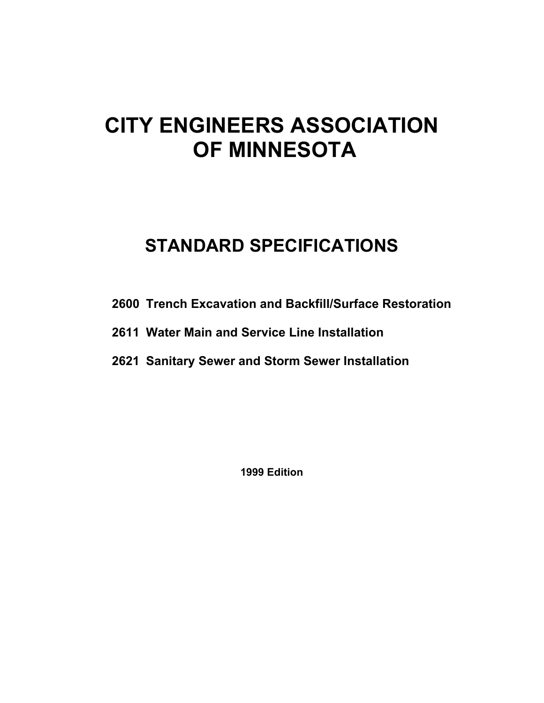# **CITY ENGINEERS ASSOCIATION OF MINNESOTA**

# **STANDARD SPECIFICATIONS**

- **2600 Trench Excavation and Backfill/Surface Restoration**
- **2611 Water Main and Service Line Installation**
- **2621 Sanitary Sewer and Storm Sewer Installation**

**1999 Edition**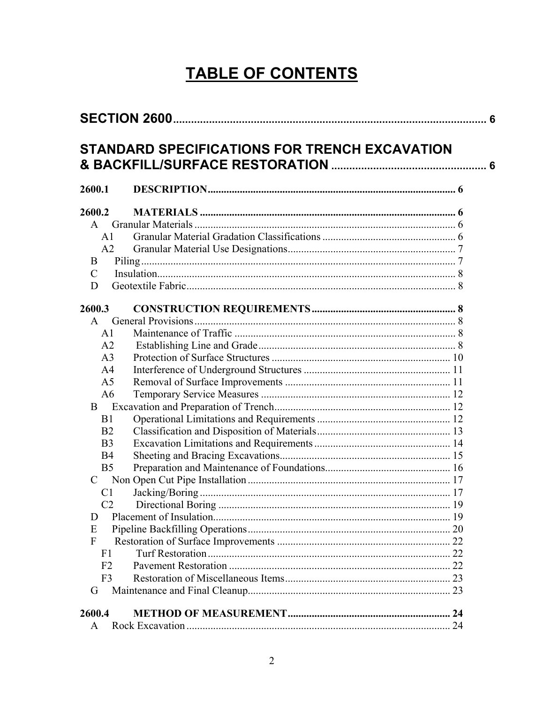# **TABLE OF CONTENTS**

| 2600.1         |  |
|----------------|--|
| 2600.2         |  |
| A              |  |
| A <sub>1</sub> |  |
| A2             |  |
| B              |  |
| $\mathcal{C}$  |  |
| D              |  |
| 2600.3         |  |
| A              |  |
| A <sub>1</sub> |  |
| A2             |  |
| A <sub>3</sub> |  |
| A <sub>4</sub> |  |
| A <sub>5</sub> |  |
| A6             |  |
| B              |  |
| B1             |  |
| B <sub>2</sub> |  |
| B <sub>3</sub> |  |
| B <sub>4</sub> |  |
| B <sub>5</sub> |  |
| C              |  |
| C <sub>1</sub> |  |
| C <sub>2</sub> |  |
| D              |  |
| E              |  |
| F              |  |
| F <sub>1</sub> |  |
| F2             |  |
| F <sub>3</sub> |  |
| G              |  |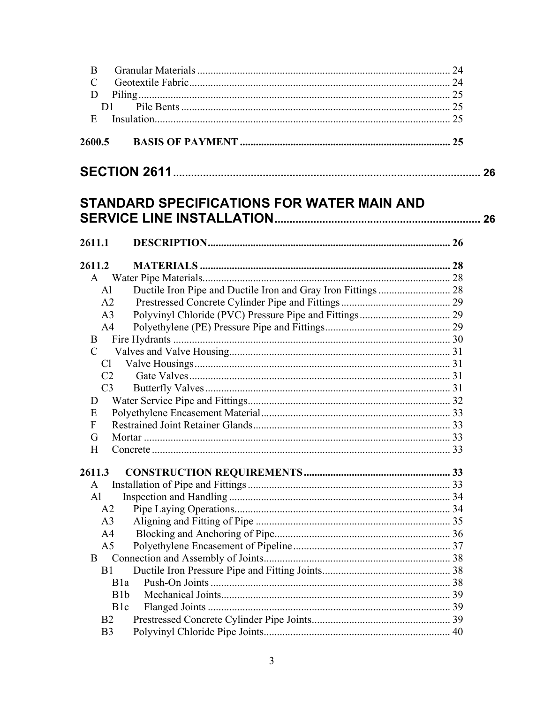| B               |                                                   |  |
|-----------------|---------------------------------------------------|--|
| $\mathcal{C}$   |                                                   |  |
| D               |                                                   |  |
| D <sub>1</sub>  |                                                   |  |
| E               |                                                   |  |
|                 |                                                   |  |
| 2600.5          |                                                   |  |
|                 |                                                   |  |
|                 | <b>STANDARD SPECIFICATIONS FOR WATER MAIN AND</b> |  |
|                 |                                                   |  |
| 2611.1          |                                                   |  |
|                 |                                                   |  |
| 2611.2          |                                                   |  |
|                 |                                                   |  |
| AI              |                                                   |  |
| A <sub>2</sub>  |                                                   |  |
| A <sub>3</sub>  |                                                   |  |
| A <sup>4</sup>  |                                                   |  |
| B               |                                                   |  |
| $\mathcal{C}$   |                                                   |  |
| Cl              |                                                   |  |
| C <sub>2</sub>  |                                                   |  |
| C <sub>3</sub>  |                                                   |  |
| $\Box$          |                                                   |  |
| E               |                                                   |  |
| F               |                                                   |  |
| G               |                                                   |  |
| H               |                                                   |  |
|                 |                                                   |  |
| 2611.3          |                                                   |  |
| A               |                                                   |  |
| Al              |                                                   |  |
| A2              |                                                   |  |
| A <sub>3</sub>  |                                                   |  |
| A <sub>4</sub>  |                                                   |  |
| A <sub>5</sub>  |                                                   |  |
| B               |                                                   |  |
| B <sub>1</sub>  |                                                   |  |
| B1a             |                                                   |  |
| B1b             |                                                   |  |
| B <sub>1c</sub> |                                                   |  |
| B2              |                                                   |  |
| B <sub>3</sub>  |                                                   |  |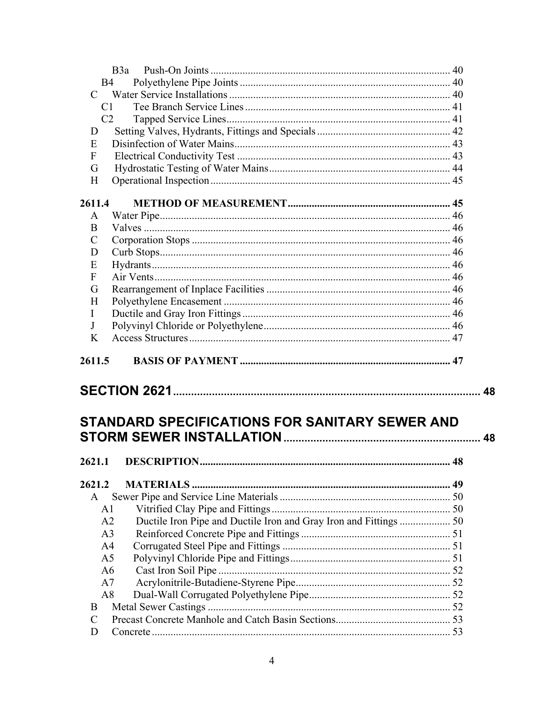| B3a                                                                                 |    |
|-------------------------------------------------------------------------------------|----|
| B <sub>4</sub>                                                                      |    |
| $\mathcal{C}$                                                                       |    |
| C <sub>1</sub>                                                                      |    |
| C <sub>2</sub>                                                                      |    |
| D                                                                                   |    |
| E                                                                                   |    |
| F                                                                                   |    |
| G                                                                                   |    |
| H                                                                                   |    |
| 2611.4                                                                              |    |
| A                                                                                   |    |
| B                                                                                   |    |
| C                                                                                   |    |
| D                                                                                   |    |
| E                                                                                   |    |
| F                                                                                   |    |
| G                                                                                   |    |
| H                                                                                   |    |
| I                                                                                   |    |
| J                                                                                   |    |
| K                                                                                   |    |
|                                                                                     |    |
| 2611.5                                                                              |    |
|                                                                                     | 48 |
| STANDARD SPECIFICATIONS FOR SANITARY SEWER AND                                      | 48 |
| 2621.1 DESCRIPTION.                                                                 | 48 |
| 2621.2                                                                              |    |
| A                                                                                   |    |
| A <sub>1</sub>                                                                      |    |
| A2                                                                                  |    |
| Ductile Iron Pipe and Ductile Iron and Gray Iron and Fittings  50<br>A <sub>3</sub> |    |
| A <sub>4</sub>                                                                      |    |
| A <sub>5</sub>                                                                      |    |
| A <sub>6</sub>                                                                      |    |
| A7                                                                                  |    |
| A8                                                                                  |    |
| B                                                                                   |    |
| C                                                                                   |    |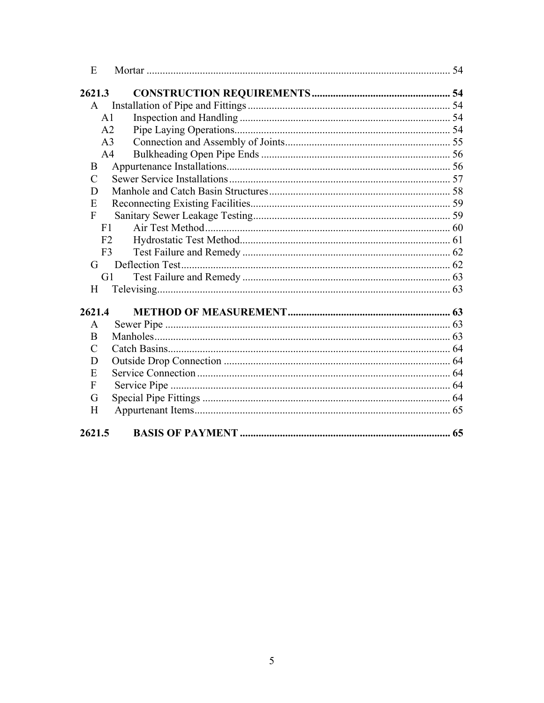| E             |                |  |
|---------------|----------------|--|
| 2621.3        |                |  |
| $\mathsf{A}$  |                |  |
|               | A <sub>1</sub> |  |
|               | A <sub>2</sub> |  |
|               | A <sub>3</sub> |  |
|               | A <sub>4</sub> |  |
| B             |                |  |
| $\mathcal{C}$ |                |  |
| D             |                |  |
| E             |                |  |
| $\mathbf{F}$  |                |  |
| F1            |                |  |
|               | F2             |  |
|               | F <sub>3</sub> |  |
| G             |                |  |
|               | G1             |  |
| H             |                |  |
| 2621.4        |                |  |
| A             |                |  |
| B             |                |  |
| $\mathcal{C}$ |                |  |
| D             |                |  |
| E             |                |  |
| F             |                |  |
| G             |                |  |
| H             |                |  |
| 2621.5        |                |  |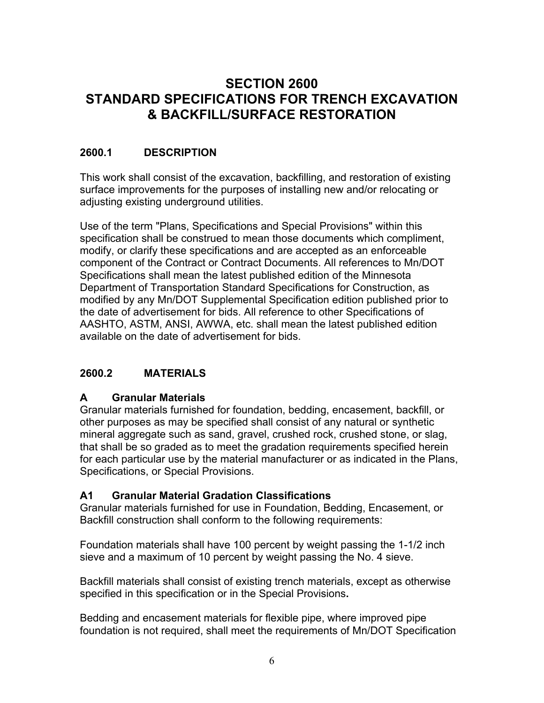# <span id="page-5-0"></span>**SECTION 2600 STANDARD SPECIFICATIONS FOR TRENCH EXCAVATION & BACKFILL/SURFACE RESTORATION**

### **2600.1 DESCRIPTION**

This work shall consist of the excavation, backfilling, and restoration of existing surface improvements for the purposes of installing new and/or relocating or adjusting existing underground utilities.

Use of the term "Plans, Specifications and Special Provisions" within this specification shall be construed to mean those documents which compliment, modify, or clarify these specifications and are accepted as an enforceable component of the Contract or Contract Documents. All references to Mn/DOT Specifications shall mean the latest published edition of the Minnesota Department of Transportation Standard Specifications for Construction, as modified by any Mn/DOT Supplemental Specification edition published prior to the date of advertisement for bids. All reference to other Specifications of AASHTO, ASTM, ANSI, AWWA, etc. shall mean the latest published edition available on the date of advertisement for bids.

#### **2600.2 MATERIALS**

#### **A Granular Materials**

Granular materials furnished for foundation, bedding, encasement, backfill, or other purposes as may be specified shall consist of any natural or synthetic mineral aggregate such as sand, gravel, crushed rock, crushed stone, or slag, that shall be so graded as to meet the gradation requirements specified herein for each particular use by the material manufacturer or as indicated in the Plans, Specifications, or Special Provisions.

#### **A1 Granular Material Gradation Classifications**

Granular materials furnished for use in Foundation, Bedding, Encasement, or Backfill construction shall conform to the following requirements:

Foundation materials shall have 100 percent by weight passing the 1-1/2 inch sieve and a maximum of 10 percent by weight passing the No. 4 sieve.

Backfill materials shall consist of existing trench materials, except as otherwise specified in this specification or in the Special Provisions**.**

Bedding and encasement materials for flexible pipe, where improved pipe foundation is not required, shall meet the requirements of Mn/DOT Specification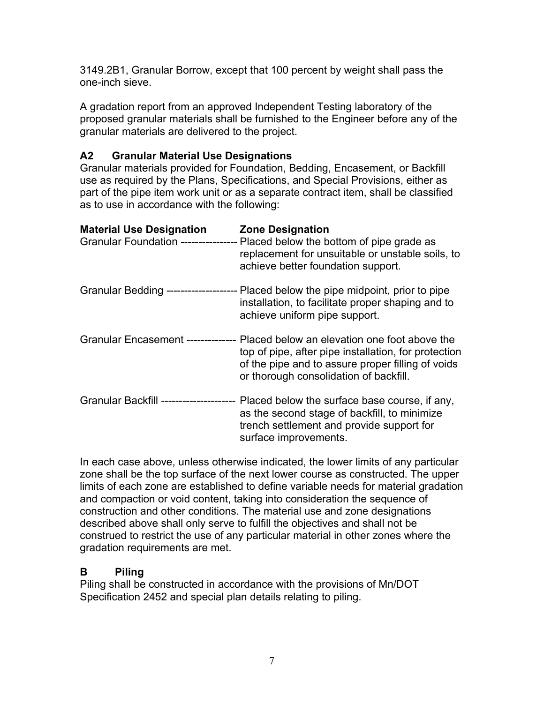<span id="page-6-0"></span>3149.2B1, Granular Borrow, except that 100 percent by weight shall pass the one-inch sieve.

A gradation report from an approved Independent Testing laboratory of the proposed granular materials shall be furnished to the Engineer before any of the granular materials are delivered to the project.

# **A2 Granular Material Use Designations**

Granular materials provided for Foundation, Bedding, Encasement, or Backfill use as required by the Plans, Specifications, and Special Provisions, either as part of the pipe item work unit or as a separate contract item, shall be classified as to use in accordance with the following:

| <b>Material Use Designation</b>            | <b>Zone Designation</b><br>Granular Foundation ----------------- Placed below the bottom of pipe grade as<br>replacement for unsuitable or unstable soils, to<br>achieve better foundation support.                                     |
|--------------------------------------------|-----------------------------------------------------------------------------------------------------------------------------------------------------------------------------------------------------------------------------------------|
|                                            | Granular Bedding --------------------- Placed below the pipe midpoint, prior to pipe<br>installation, to facilitate proper shaping and to<br>achieve uniform pipe support.                                                              |
|                                            | Granular Encasement --------------- Placed below an elevation one foot above the<br>top of pipe, after pipe installation, for protection<br>of the pipe and to assure proper filling of voids<br>or thorough consolidation of backfill. |
| <b>Granular Backfill -----------------</b> | Placed below the surface base course, if any,<br>as the second stage of backfill, to minimize<br>trench settlement and provide support for<br>surface improvements.                                                                     |

In each case above, unless otherwise indicated, the lower limits of any particular zone shall be the top surface of the next lower course as constructed. The upper limits of each zone are established to define variable needs for material gradation and compaction or void content, taking into consideration the sequence of construction and other conditions. The material use and zone designations described above shall only serve to fulfill the objectives and shall not be construed to restrict the use of any particular material in other zones where the gradation requirements are met.

#### **B Piling**

Piling shall be constructed in accordance with the provisions of Mn/DOT Specification 2452 and special plan details relating to piling.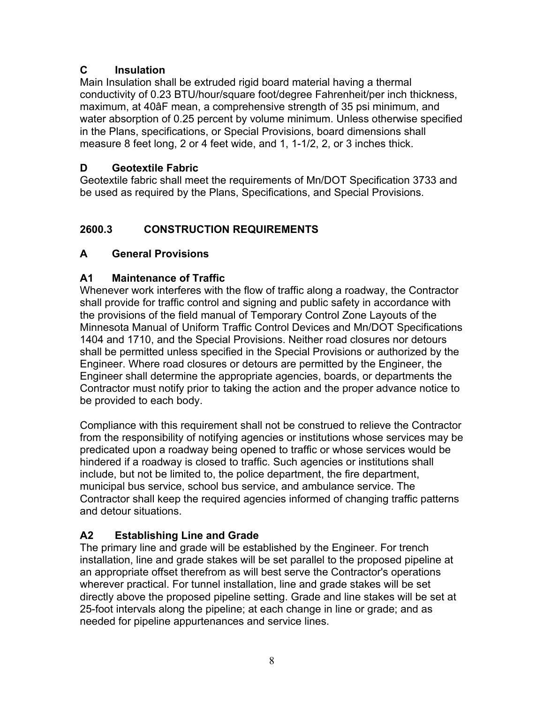# <span id="page-7-0"></span>**C Insulation**

Main Insulation shall be extruded rigid board material having a thermal conductivity of 0.23 BTU/hour/square foot/degree Fahrenheit/per inch thickness, maximum, at 40âF mean, a comprehensive strength of 35 psi minimum, and water absorption of 0.25 percent by volume minimum. Unless otherwise specified in the Plans, specifications, or Special Provisions, board dimensions shall measure 8 feet long, 2 or 4 feet wide, and 1, 1-1/2, 2, or 3 inches thick.

# **D Geotextile Fabric**

Geotextile fabric shall meet the requirements of Mn/DOT Specification 3733 and be used as required by the Plans, Specifications, and Special Provisions.

# **2600.3 CONSTRUCTION REQUIREMENTS**

# **A General Provisions**

# **A1 Maintenance of Traffic**

Whenever work interferes with the flow of traffic along a roadway, the Contractor shall provide for traffic control and signing and public safety in accordance with the provisions of the field manual of Temporary Control Zone Layouts of the Minnesota Manual of Uniform Traffic Control Devices and Mn/DOT Specifications 1404 and 1710, and the Special Provisions. Neither road closures nor detours shall be permitted unless specified in the Special Provisions or authorized by the Engineer. Where road closures or detours are permitted by the Engineer, the Engineer shall determine the appropriate agencies, boards, or departments the Contractor must notify prior to taking the action and the proper advance notice to be provided to each body.

Compliance with this requirement shall not be construed to relieve the Contractor from the responsibility of notifying agencies or institutions whose services may be predicated upon a roadway being opened to traffic or whose services would be hindered if a roadway is closed to traffic. Such agencies or institutions shall include, but not be limited to, the police department, the fire department, municipal bus service, school bus service, and ambulance service. The Contractor shall keep the required agencies informed of changing traffic patterns and detour situations.

# **A2 Establishing Line and Grade**

The primary line and grade will be established by the Engineer. For trench installation, line and grade stakes will be set parallel to the proposed pipeline at an appropriate offset therefrom as will best serve the Contractor's operations wherever practical. For tunnel installation, line and grade stakes will be set directly above the proposed pipeline setting. Grade and line stakes will be set at 25-foot intervals along the pipeline; at each change in line or grade; and as needed for pipeline appurtenances and service lines.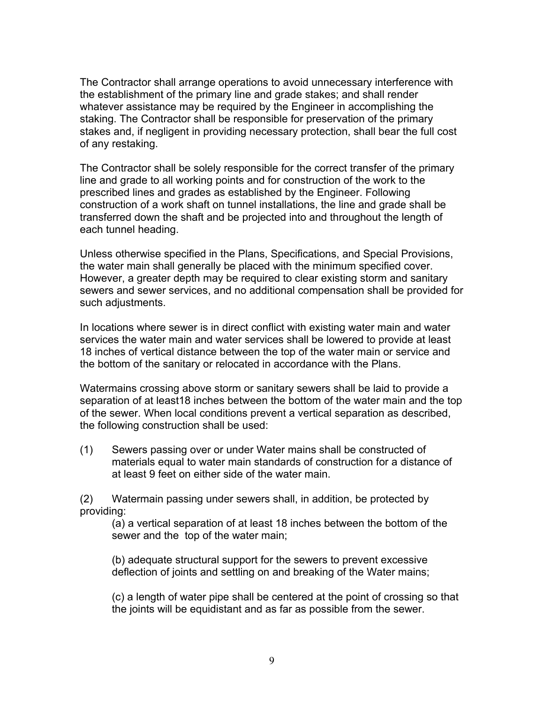The Contractor shall arrange operations to avoid unnecessary interference with the establishment of the primary line and grade stakes; and shall render whatever assistance may be required by the Engineer in accomplishing the staking. The Contractor shall be responsible for preservation of the primary stakes and, if negligent in providing necessary protection, shall bear the full cost of any restaking.

The Contractor shall be solely responsible for the correct transfer of the primary line and grade to all working points and for construction of the work to the prescribed lines and grades as established by the Engineer. Following construction of a work shaft on tunnel installations, the line and grade shall be transferred down the shaft and be projected into and throughout the length of each tunnel heading.

Unless otherwise specified in the Plans, Specifications, and Special Provisions, the water main shall generally be placed with the minimum specified cover. However, a greater depth may be required to clear existing storm and sanitary sewers and sewer services, and no additional compensation shall be provided for such adjustments.

In locations where sewer is in direct conflict with existing water main and water services the water main and water services shall be lowered to provide at least 18 inches of vertical distance between the top of the water main or service and the bottom of the sanitary or relocated in accordance with the Plans.

Watermains crossing above storm or sanitary sewers shall be laid to provide a separation of at least18 inches between the bottom of the water main and the top of the sewer. When local conditions prevent a vertical separation as described, the following construction shall be used:

(1) Sewers passing over or under Water mains shall be constructed of materials equal to water main standards of construction for a distance of at least 9 feet on either side of the water main.

(2) Watermain passing under sewers shall, in addition, be protected by providing:

(a) a vertical separation of at least 18 inches between the bottom of the sewer and the top of the water main;

(b) adequate structural support for the sewers to prevent excessive deflection of joints and settling on and breaking of the Water mains;

(c) a length of water pipe shall be centered at the point of crossing so that the joints will be equidistant and as far as possible from the sewer.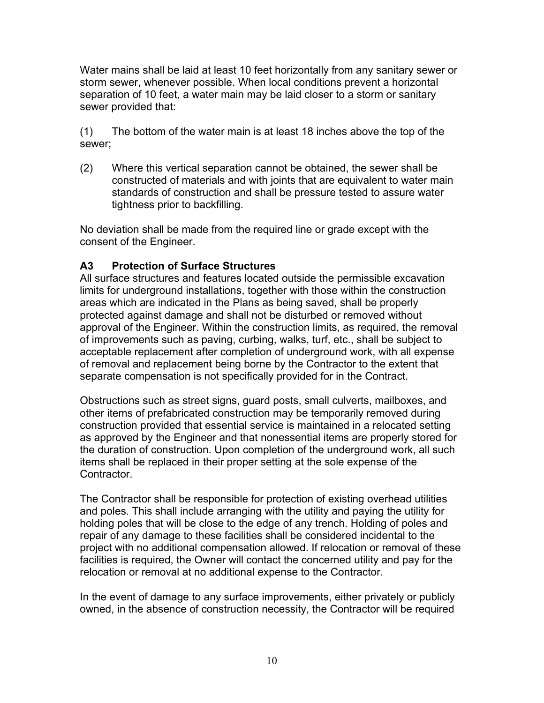<span id="page-9-0"></span>Water mains shall be laid at least 10 feet horizontally from any sanitary sewer or storm sewer, whenever possible. When local conditions prevent a horizontal separation of 10 feet, a water main may be laid closer to a storm or sanitary sewer provided that:

(1) The bottom of the water main is at least 18 inches above the top of the sewer;

(2) Where this vertical separation cannot be obtained, the sewer shall be constructed of materials and with joints that are equivalent to water main standards of construction and shall be pressure tested to assure water tightness prior to backfilling.

No deviation shall be made from the required line or grade except with the consent of the Engineer.

#### **A3 Protection of Surface Structures**

All surface structures and features located outside the permissible excavation limits for underground installations, together with those within the construction areas which are indicated in the Plans as being saved, shall be properly protected against damage and shall not be disturbed or removed without approval of the Engineer. Within the construction limits, as required, the removal of improvements such as paving, curbing, walks, turf, etc., shall be subject to acceptable replacement after completion of underground work, with all expense of removal and replacement being borne by the Contractor to the extent that separate compensation is not specifically provided for in the Contract.

Obstructions such as street signs, guard posts, small culverts, mailboxes, and other items of prefabricated construction may be temporarily removed during construction provided that essential service is maintained in a relocated setting as approved by the Engineer and that nonessential items are properly stored for the duration of construction. Upon completion of the underground work, all such items shall be replaced in their proper setting at the sole expense of the Contractor.

The Contractor shall be responsible for protection of existing overhead utilities and poles. This shall include arranging with the utility and paying the utility for holding poles that will be close to the edge of any trench. Holding of poles and repair of any damage to these facilities shall be considered incidental to the project with no additional compensation allowed. If relocation or removal of these facilities is required, the Owner will contact the concerned utility and pay for the relocation or removal at no additional expense to the Contractor.

In the event of damage to any surface improvements, either privately or publicly owned, in the absence of construction necessity, the Contractor will be required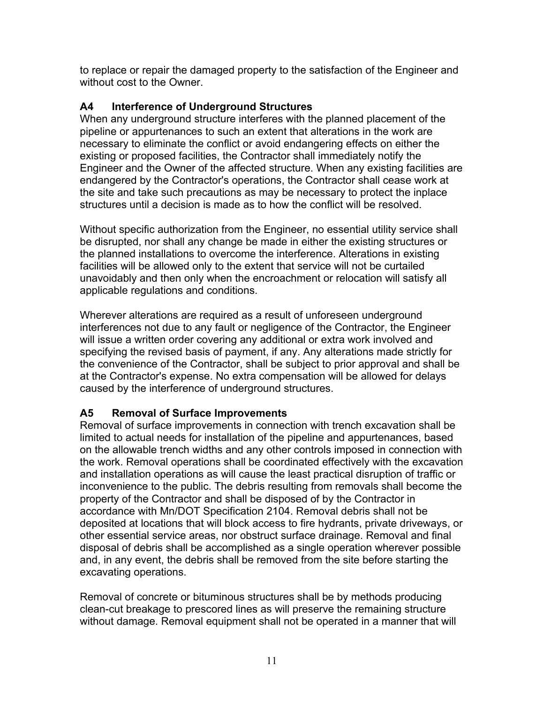<span id="page-10-0"></span>to replace or repair the damaged property to the satisfaction of the Engineer and without cost to the Owner.

# **A4 Interference of Underground Structures**

When any underground structure interferes with the planned placement of the pipeline or appurtenances to such an extent that alterations in the work are necessary to eliminate the conflict or avoid endangering effects on either the existing or proposed facilities, the Contractor shall immediately notify the Engineer and the Owner of the affected structure. When any existing facilities are endangered by the Contractor's operations, the Contractor shall cease work at the site and take such precautions as may be necessary to protect the inplace structures until a decision is made as to how the conflict will be resolved.

Without specific authorization from the Engineer, no essential utility service shall be disrupted, nor shall any change be made in either the existing structures or the planned installations to overcome the interference. Alterations in existing facilities will be allowed only to the extent that service will not be curtailed unavoidably and then only when the encroachment or relocation will satisfy all applicable regulations and conditions.

Wherever alterations are required as a result of unforeseen underground interferences not due to any fault or negligence of the Contractor, the Engineer will issue a written order covering any additional or extra work involved and specifying the revised basis of payment, if any. Any alterations made strictly for the convenience of the Contractor, shall be subject to prior approval and shall be at the Contractor's expense. No extra compensation will be allowed for delays caused by the interference of underground structures.

# **A5 Removal of Surface Improvements**

Removal of surface improvements in connection with trench excavation shall be limited to actual needs for installation of the pipeline and appurtenances, based on the allowable trench widths and any other controls imposed in connection with the work. Removal operations shall be coordinated effectively with the excavation and installation operations as will cause the least practical disruption of traffic or inconvenience to the public. The debris resulting from removals shall become the property of the Contractor and shall be disposed of by the Contractor in accordance with Mn/DOT Specification 2104. Removal debris shall not be deposited at locations that will block access to fire hydrants, private driveways, or other essential service areas, nor obstruct surface drainage. Removal and final disposal of debris shall be accomplished as a single operation wherever possible and, in any event, the debris shall be removed from the site before starting the excavating operations.

Removal of concrete or bituminous structures shall be by methods producing clean-cut breakage to prescored lines as will preserve the remaining structure without damage. Removal equipment shall not be operated in a manner that will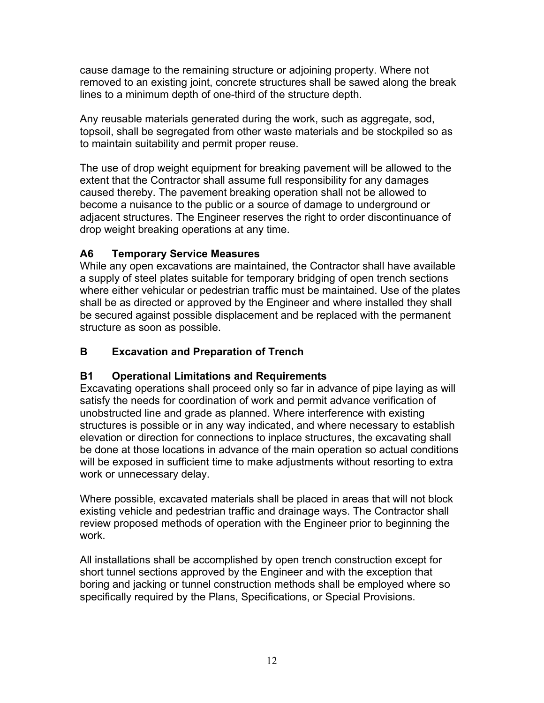<span id="page-11-0"></span>cause damage to the remaining structure or adjoining property. Where not removed to an existing joint, concrete structures shall be sawed along the break lines to a minimum depth of one-third of the structure depth.

Any reusable materials generated during the work, such as aggregate, sod, topsoil, shall be segregated from other waste materials and be stockpiled so as to maintain suitability and permit proper reuse.

The use of drop weight equipment for breaking pavement will be allowed to the extent that the Contractor shall assume full responsibility for any damages caused thereby. The pavement breaking operation shall not be allowed to become a nuisance to the public or a source of damage to underground or adjacent structures. The Engineer reserves the right to order discontinuance of drop weight breaking operations at any time.

# **A6 Temporary Service Measures**

While any open excavations are maintained, the Contractor shall have available a supply of steel plates suitable for temporary bridging of open trench sections where either vehicular or pedestrian traffic must be maintained. Use of the plates shall be as directed or approved by the Engineer and where installed they shall be secured against possible displacement and be replaced with the permanent structure as soon as possible.

#### **B Excavation and Preparation of Trench**

#### **B1 Operational Limitations and Requirements**

Excavating operations shall proceed only so far in advance of pipe laying as will satisfy the needs for coordination of work and permit advance verification of unobstructed line and grade as planned. Where interference with existing structures is possible or in any way indicated, and where necessary to establish elevation or direction for connections to inplace structures, the excavating shall be done at those locations in advance of the main operation so actual conditions will be exposed in sufficient time to make adjustments without resorting to extra work or unnecessary delay.

Where possible, excavated materials shall be placed in areas that will not block existing vehicle and pedestrian traffic and drainage ways. The Contractor shall review proposed methods of operation with the Engineer prior to beginning the work.

All installations shall be accomplished by open trench construction except for short tunnel sections approved by the Engineer and with the exception that boring and jacking or tunnel construction methods shall be employed where so specifically required by the Plans, Specifications, or Special Provisions.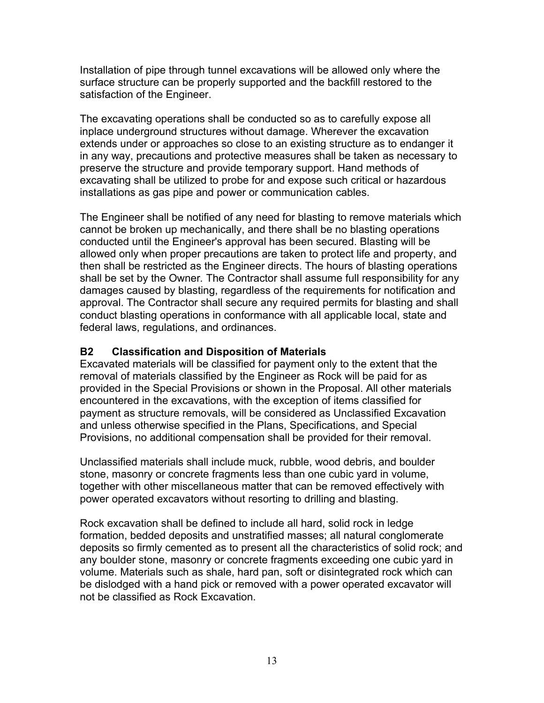<span id="page-12-0"></span>Installation of pipe through tunnel excavations will be allowed only where the surface structure can be properly supported and the backfill restored to the satisfaction of the Engineer.

The excavating operations shall be conducted so as to carefully expose all inplace underground structures without damage. Wherever the excavation extends under or approaches so close to an existing structure as to endanger it in any way, precautions and protective measures shall be taken as necessary to preserve the structure and provide temporary support. Hand methods of excavating shall be utilized to probe for and expose such critical or hazardous installations as gas pipe and power or communication cables.

The Engineer shall be notified of any need for blasting to remove materials which cannot be broken up mechanically, and there shall be no blasting operations conducted until the Engineer's approval has been secured. Blasting will be allowed only when proper precautions are taken to protect life and property, and then shall be restricted as the Engineer directs. The hours of blasting operations shall be set by the Owner*.* The Contractor shall assume full responsibility for any damages caused by blasting, regardless of the requirements for notification and approval. The Contractor shall secure any required permits for blasting and shall conduct blasting operations in conformance with all applicable local, state and federal laws, regulations, and ordinances.

#### **B2 Classification and Disposition of Materials**

Excavated materials will be classified for payment only to the extent that the removal of materials classified by the Engineer as Rock will be paid for as provided in the Special Provisions or shown in the Proposal. All other materials encountered in the excavations, with the exception of items classified for payment as structure removals, will be considered as Unclassified Excavation and unless otherwise specified in the Plans, Specifications, and Special Provisions, no additional compensation shall be provided for their removal.

Unclassified materials shall include muck, rubble, wood debris, and boulder stone, masonry or concrete fragments less than one cubic yard in volume, together with other miscellaneous matter that can be removed effectively with power operated excavators without resorting to drilling and blasting.

Rock excavation shall be defined to include all hard, solid rock in ledge formation, bedded deposits and unstratified masses; all natural conglomerate deposits so firmly cemented as to present all the characteristics of solid rock; and any boulder stone, masonry or concrete fragments exceeding one cubic yard in volume. Materials such as shale, hard pan, soft or disintegrated rock which can be dislodged with a hand pick or removed with a power operated excavator will not be classified as Rock Excavation.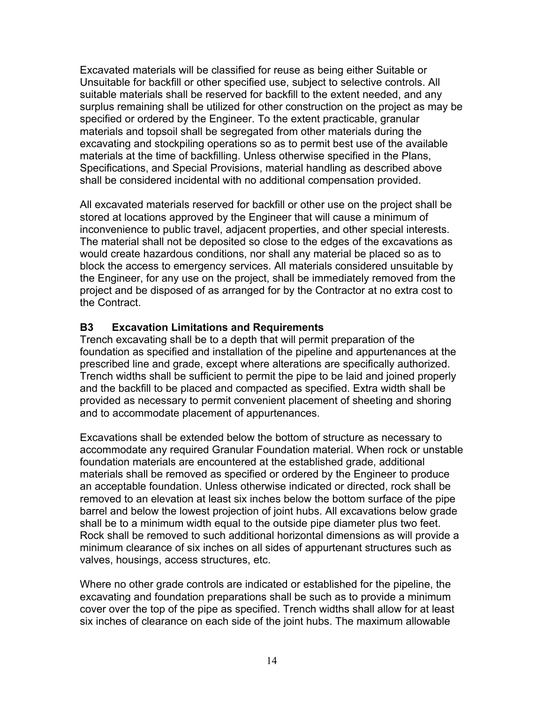<span id="page-13-0"></span>Excavated materials will be classified for reuse as being either Suitable or Unsuitable for backfill or other specified use, subject to selective controls. All suitable materials shall be reserved for backfill to the extent needed, and any surplus remaining shall be utilized for other construction on the project as may be specified or ordered by the Engineer. To the extent practicable, granular materials and topsoil shall be segregated from other materials during the excavating and stockpiling operations so as to permit best use of the available materials at the time of backfilling. Unless otherwise specified in the Plans, Specifications, and Special Provisions, material handling as described above shall be considered incidental with no additional compensation provided.

All excavated materials reserved for backfill or other use on the project shall be stored at locations approved by the Engineer that will cause a minimum of inconvenience to public travel, adjacent properties, and other special interests. The material shall not be deposited so close to the edges of the excavations as would create hazardous conditions, nor shall any material be placed so as to block the access to emergency services. All materials considered unsuitable by the Engineer, for any use on the project, shall be immediately removed from the project and be disposed of as arranged for by the Contractor at no extra cost to the Contract.

#### **B3 Excavation Limitations and Requirements**

Trench excavating shall be to a depth that will permit preparation of the foundation as specified and installation of the pipeline and appurtenances at the prescribed line and grade, except where alterations are specifically authorized. Trench widths shall be sufficient to permit the pipe to be laid and joined properly and the backfill to be placed and compacted as specified. Extra width shall be provided as necessary to permit convenient placement of sheeting and shoring and to accommodate placement of appurtenances.

Excavations shall be extended below the bottom of structure as necessary to accommodate any required Granular Foundation material. When rock or unstable foundation materials are encountered at the established grade, additional materials shall be removed as specified or ordered by the Engineer to produce an acceptable foundation. Unless otherwise indicated or directed, rock shall be removed to an elevation at least six inches below the bottom surface of the pipe barrel and below the lowest projection of joint hubs. All excavations below grade shall be to a minimum width equal to the outside pipe diameter plus two feet. Rock shall be removed to such additional horizontal dimensions as will provide a minimum clearance of six inches on all sides of appurtenant structures such as valves, housings, access structures, etc.

Where no other grade controls are indicated or established for the pipeline, the excavating and foundation preparations shall be such as to provide a minimum cover over the top of the pipe as specified. Trench widths shall allow for at least six inches of clearance on each side of the joint hubs. The maximum allowable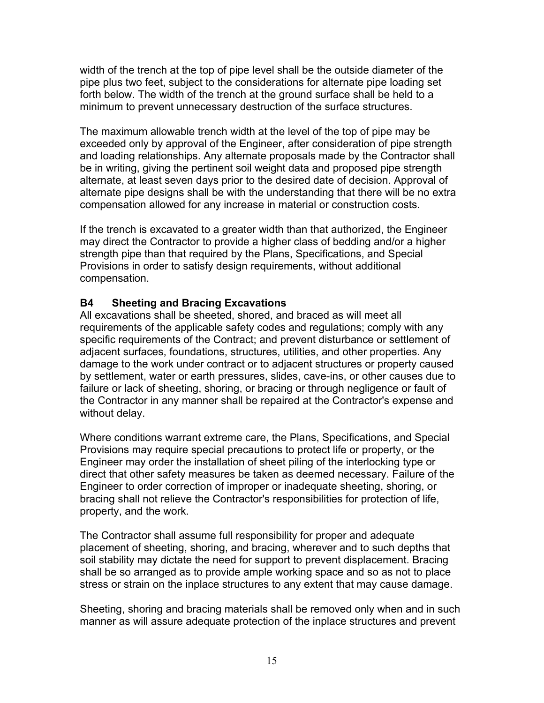<span id="page-14-0"></span>width of the trench at the top of pipe level shall be the outside diameter of the pipe plus two feet, subject to the considerations for alternate pipe loading set forth below. The width of the trench at the ground surface shall be held to a minimum to prevent unnecessary destruction of the surface structures.

The maximum allowable trench width at the level of the top of pipe may be exceeded only by approval of the Engineer, after consideration of pipe strength and loading relationships. Any alternate proposals made by the Contractor shall be in writing, giving the pertinent soil weight data and proposed pipe strength alternate, at least seven days prior to the desired date of decision. Approval of alternate pipe designs shall be with the understanding that there will be no extra compensation allowed for any increase in material or construction costs.

If the trench is excavated to a greater width than that authorized, the Engineer may direct the Contractor to provide a higher class of bedding and/or a higher strength pipe than that required by the Plans, Specifications, and Special Provisions in order to satisfy design requirements, without additional compensation.

#### **B4 Sheeting and Bracing Excavations**

All excavations shall be sheeted, shored, and braced as will meet all requirements of the applicable safety codes and regulations; comply with any specific requirements of the Contract; and prevent disturbance or settlement of adjacent surfaces, foundations, structures, utilities, and other properties. Any damage to the work under contract or to adjacent structures or property caused by settlement, water or earth pressures, slides, cave-ins, or other causes due to failure or lack of sheeting, shoring, or bracing or through negligence or fault of the Contractor in any manner shall be repaired at the Contractor's expense and without delay.

Where conditions warrant extreme care, the Plans, Specifications, and Special Provisions may require special precautions to protect life or property, or the Engineer may order the installation of sheet piling of the interlocking type or direct that other safety measures be taken as deemed necessary. Failure of the Engineer to order correction of improper or inadequate sheeting, shoring, or bracing shall not relieve the Contractor's responsibilities for protection of life, property, and the work.

The Contractor shall assume full responsibility for proper and adequate placement of sheeting, shoring, and bracing, wherever and to such depths that soil stability may dictate the need for support to prevent displacement. Bracing shall be so arranged as to provide ample working space and so as not to place stress or strain on the inplace structures to any extent that may cause damage.

Sheeting, shoring and bracing materials shall be removed only when and in such manner as will assure adequate protection of the inplace structures and prevent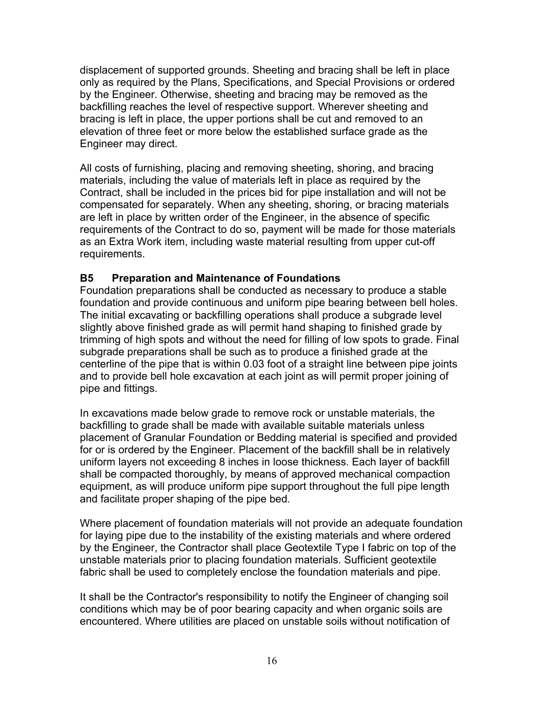<span id="page-15-0"></span>displacement of supported grounds. Sheeting and bracing shall be left in place only as required by the Plans, Specifications, and Special Provisions or ordered by the Engineer. Otherwise, sheeting and bracing may be removed as the backfilling reaches the level of respective support. Wherever sheeting and bracing is left in place, the upper portions shall be cut and removed to an elevation of three feet or more below the established surface grade as the Engineer may direct.

All costs of furnishing, placing and removing sheeting, shoring, and bracing materials, including the value of materials left in place as required by the Contract, shall be included in the prices bid for pipe installation and will not be compensated for separately. When any sheeting, shoring, or bracing materials are left in place by written order of the Engineer, in the absence of specific requirements of the Contract to do so, payment will be made for those materials as an Extra Work item, including waste material resulting from upper cut-off requirements.

#### **B5 Preparation and Maintenance of Foundations**

Foundation preparations shall be conducted as necessary to produce a stable foundation and provide continuous and uniform pipe bearing between bell holes. The initial excavating or backfilling operations shall produce a subgrade level slightly above finished grade as will permit hand shaping to finished grade by trimming of high spots and without the need for filling of low spots to grade. Final subgrade preparations shall be such as to produce a finished grade at the centerline of the pipe that is within 0.03 foot of a straight line between pipe joints and to provide bell hole excavation at each joint as will permit proper joining of pipe and fittings.

In excavations made below grade to remove rock or unstable materials, the backfilling to grade shall be made with available suitable materials unless placement of Granular Foundation or Bedding material is specified and provided for or is ordered by the Engineer. Placement of the backfill shall be in relatively uniform layers not exceeding 8 inches in loose thickness. Each layer of backfill shall be compacted thoroughly, by means of approved mechanical compaction equipment, as will produce uniform pipe support throughout the full pipe length and facilitate proper shaping of the pipe bed.

Where placement of foundation materials will not provide an adequate foundation for laying pipe due to the instability of the existing materials and where ordered by the Engineer, the Contractor shall place Geotextile Type I fabric on top of the unstable materials prior to placing foundation materials. Sufficient geotextile fabric shall be used to completely enclose the foundation materials and pipe.

It shall be the Contractor's responsibility to notify the Engineer of changing soil conditions which may be of poor bearing capacity and when organic soils are encountered. Where utilities are placed on unstable soils without notification of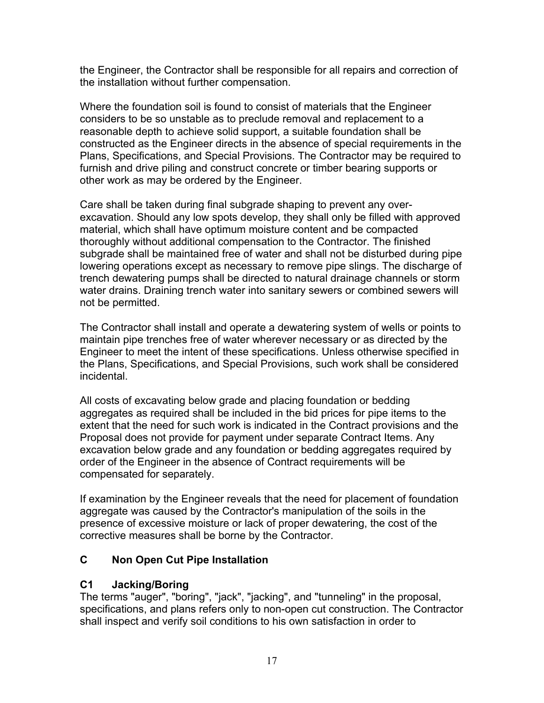<span id="page-16-0"></span>the Engineer, the Contractor shall be responsible for all repairs and correction of the installation without further compensation.

Where the foundation soil is found to consist of materials that the Engineer considers to be so unstable as to preclude removal and replacement to a reasonable depth to achieve solid support, a suitable foundation shall be constructed as the Engineer directs in the absence of special requirements in the Plans, Specifications, and Special Provisions. The Contractor may be required to furnish and drive piling and construct concrete or timber bearing supports or other work as may be ordered by the Engineer.

Care shall be taken during final subgrade shaping to prevent any overexcavation. Should any low spots develop, they shall only be filled with approved material, which shall have optimum moisture content and be compacted thoroughly without additional compensation to the Contractor. The finished subgrade shall be maintained free of water and shall not be disturbed during pipe lowering operations except as necessary to remove pipe slings. The discharge of trench dewatering pumps shall be directed to natural drainage channels or storm water drains. Draining trench water into sanitary sewers or combined sewers will not be permitted.

The Contractor shall install and operate a dewatering system of wells or points to maintain pipe trenches free of water wherever necessary or as directed by the Engineer to meet the intent of these specifications. Unless otherwise specified in the Plans, Specifications, and Special Provisions, such work shall be considered incidental.

All costs of excavating below grade and placing foundation or bedding aggregates as required shall be included in the bid prices for pipe items to the extent that the need for such work is indicated in the Contract provisions and the Proposal does not provide for payment under separate Contract Items. Any excavation below grade and any foundation or bedding aggregates required by order of the Engineer in the absence of Contract requirements will be compensated for separately.

If examination by the Engineer reveals that the need for placement of foundation aggregate was caused by the Contractor's manipulation of the soils in the presence of excessive moisture or lack of proper dewatering, the cost of the corrective measures shall be borne by the Contractor.

# **C Non Open Cut Pipe Installation**

# **C1 Jacking/Boring**

The terms "auger", "boring", "jack", "jacking", and "tunneling" in the proposal, specifications, and plans refers only to non-open cut construction. The Contractor shall inspect and verify soil conditions to his own satisfaction in order to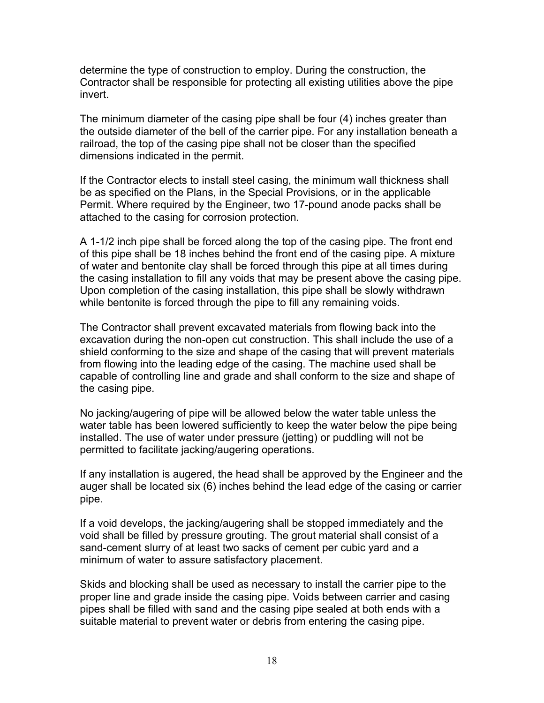determine the type of construction to employ. During the construction, the Contractor shall be responsible for protecting all existing utilities above the pipe invert.

The minimum diameter of the casing pipe shall be four (4) inches greater than the outside diameter of the bell of the carrier pipe. For any installation beneath a railroad, the top of the casing pipe shall not be closer than the specified dimensions indicated in the permit.

If the Contractor elects to install steel casing, the minimum wall thickness shall be as specified on the Plans, in the Special Provisions, or in the applicable Permit. Where required by the Engineer, two 17-pound anode packs shall be attached to the casing for corrosion protection.

A 1-1/2 inch pipe shall be forced along the top of the casing pipe. The front end of this pipe shall be 18 inches behind the front end of the casing pipe. A mixture of water and bentonite clay shall be forced through this pipe at all times during the casing installation to fill any voids that may be present above the casing pipe. Upon completion of the casing installation, this pipe shall be slowly withdrawn while bentonite is forced through the pipe to fill any remaining voids.

The Contractor shall prevent excavated materials from flowing back into the excavation during the non-open cut construction. This shall include the use of a shield conforming to the size and shape of the casing that will prevent materials from flowing into the leading edge of the casing. The machine used shall be capable of controlling line and grade and shall conform to the size and shape of the casing pipe.

No jacking/augering of pipe will be allowed below the water table unless the water table has been lowered sufficiently to keep the water below the pipe being installed. The use of water under pressure (jetting) or puddling will not be permitted to facilitate jacking/augering operations.

If any installation is augered, the head shall be approved by the Engineer and the auger shall be located six (6) inches behind the lead edge of the casing or carrier pipe.

If a void develops, the jacking/augering shall be stopped immediately and the void shall be filled by pressure grouting. The grout material shall consist of a sand-cement slurry of at least two sacks of cement per cubic yard and a minimum of water to assure satisfactory placement.

Skids and blocking shall be used as necessary to install the carrier pipe to the proper line and grade inside the casing pipe. Voids between carrier and casing pipes shall be filled with sand and the casing pipe sealed at both ends with a suitable material to prevent water or debris from entering the casing pipe.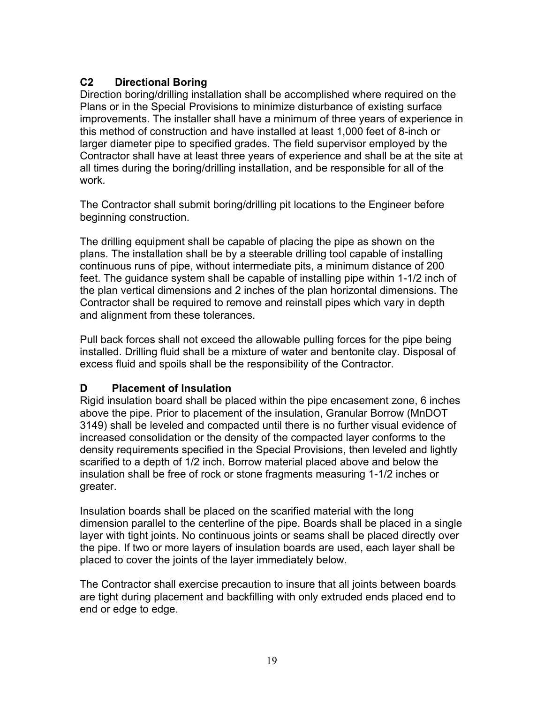# <span id="page-18-0"></span>**C2 Directional Boring**

Direction boring/drilling installation shall be accomplished where required on the Plans or in the Special Provisions to minimize disturbance of existing surface improvements. The installer shall have a minimum of three years of experience in this method of construction and have installed at least 1,000 feet of 8-inch or larger diameter pipe to specified grades. The field supervisor employed by the Contractor shall have at least three years of experience and shall be at the site at all times during the boring/drilling installation, and be responsible for all of the work.

The Contractor shall submit boring/drilling pit locations to the Engineer before beginning construction.

The drilling equipment shall be capable of placing the pipe as shown on the plans. The installation shall be by a steerable drilling tool capable of installing continuous runs of pipe, without intermediate pits, a minimum distance of 200 feet. The guidance system shall be capable of installing pipe within 1-1/2 inch of the plan vertical dimensions and 2 inches of the plan horizontal dimensions. The Contractor shall be required to remove and reinstall pipes which vary in depth and alignment from these tolerances.

Pull back forces shall not exceed the allowable pulling forces for the pipe being installed. Drilling fluid shall be a mixture of water and bentonite clay. Disposal of excess fluid and spoils shall be the responsibility of the Contractor.

# **D Placement of Insulation**

Rigid insulation board shall be placed within the pipe encasement zone, 6 inches above the pipe. Prior to placement of the insulation, Granular Borrow (MnDOT 3149) shall be leveled and compacted until there is no further visual evidence of increased consolidation or the density of the compacted layer conforms to the density requirements specified in the Special Provisions, then leveled and lightly scarified to a depth of 1/2 inch. Borrow material placed above and below the insulation shall be free of rock or stone fragments measuring 1-1/2 inches or greater.

Insulation boards shall be placed on the scarified material with the long dimension parallel to the centerline of the pipe. Boards shall be placed in a single layer with tight joints. No continuous joints or seams shall be placed directly over the pipe. If two or more layers of insulation boards are used, each layer shall be placed to cover the joints of the layer immediately below.

The Contractor shall exercise precaution to insure that all joints between boards are tight during placement and backfilling with only extruded ends placed end to end or edge to edge.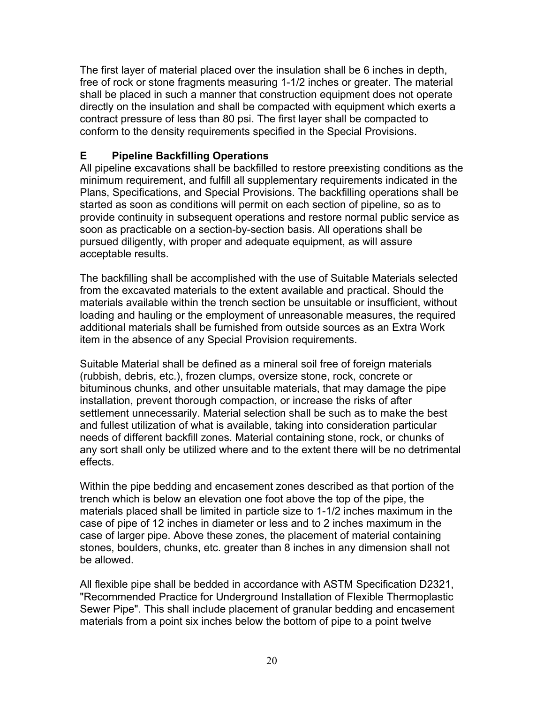<span id="page-19-0"></span>The first layer of material placed over the insulation shall be 6 inches in depth, free of rock or stone fragments measuring 1-1/2 inches or greater. The material shall be placed in such a manner that construction equipment does not operate directly on the insulation and shall be compacted with equipment which exerts a contract pressure of less than 80 psi. The first layer shall be compacted to conform to the density requirements specified in the Special Provisions.

#### **E Pipeline Backfilling Operations**

All pipeline excavations shall be backfilled to restore preexisting conditions as the minimum requirement, and fulfill all supplementary requirements indicated in the Plans, Specifications, and Special Provisions. The backfilling operations shall be started as soon as conditions will permit on each section of pipeline, so as to provide continuity in subsequent operations and restore normal public service as soon as practicable on a section-by-section basis. All operations shall be pursued diligently, with proper and adequate equipment, as will assure acceptable results.

The backfilling shall be accomplished with the use of Suitable Materials selected from the excavated materials to the extent available and practical. Should the materials available within the trench section be unsuitable or insufficient, without loading and hauling or the employment of unreasonable measures, the required additional materials shall be furnished from outside sources as an Extra Work item in the absence of any Special Provision requirements.

Suitable Material shall be defined as a mineral soil free of foreign materials (rubbish, debris, etc.), frozen clumps, oversize stone, rock, concrete or bituminous chunks, and other unsuitable materials, that may damage the pipe installation, prevent thorough compaction, or increase the risks of after settlement unnecessarily. Material selection shall be such as to make the best and fullest utilization of what is available, taking into consideration particular needs of different backfill zones. Material containing stone, rock, or chunks of any sort shall only be utilized where and to the extent there will be no detrimental effects.

Within the pipe bedding and encasement zones described as that portion of the trench which is below an elevation one foot above the top of the pipe, the materials placed shall be limited in particle size to 1-1/2 inches maximum in the case of pipe of 12 inches in diameter or less and to 2 inches maximum in the case of larger pipe. Above these zones, the placement of material containing stones, boulders, chunks, etc. greater than 8 inches in any dimension shall not be allowed.

All flexible pipe shall be bedded in accordance with ASTM Specification D2321, "Recommended Practice for Underground Installation of Flexible Thermoplastic Sewer Pipe". This shall include placement of granular bedding and encasement materials from a point six inches below the bottom of pipe to a point twelve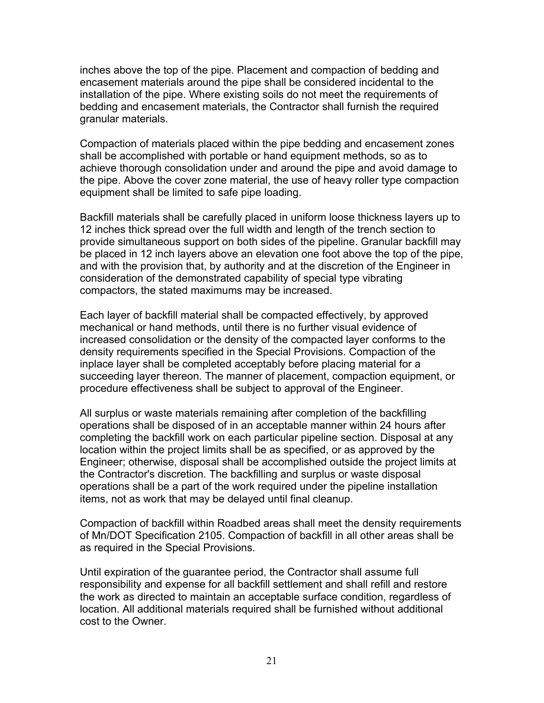inches above the top of the pipe. Placement and compaction of bedding and encasement materials around the pipe shall be considered incidental to the installation of the pipe. Where existing soils do not meet the requirements of bedding and encasement materials, the Contractor shall furnish the required granular materials.

Compaction of materials placed within the pipe bedding and encasement zones shall be accomplished with portable or hand equipment methods, so as to achieve thorough consolidation under and around the pipe and avoid damage to the pipe. Above the cover zone material, the use of heavy roller type compaction equipment shall be limited to safe pipe loading.

Backfill materials shall be carefully placed in uniform loose thickness layers up to 12 inches thick spread over the full width and length of the trench section to provide simultaneous support on both sides of the pipeline. Granular backfill may be placed in 12 inch layers above an elevation one foot above the top of the pipe, and with the provision that, by authority and at the discretion of the Engineer in consideration of the demonstrated capability of special type vibrating compactors, the stated maximums may be increased.

Each layer of backfill material shall be compacted effectively, by approved mechanical or hand methods, until there is no further visual evidence of increased consolidation or the density of the compacted layer conforms to the density requirements specified in the Special Provisions. Compaction of the inplace layer shall be completed acceptably before placing material for a succeeding layer thereon. The manner of placement, compaction equipment, or procedure effectiveness shall be subject to approval of the Engineer.

All surplus or waste materials remaining after completion of the backfilling operations shall be disposed of in an acceptable manner within 24 hours after completing the backfill work on each particular pipeline section. Disposal at any location within the project limits shall be as specified, or as approved by the Engineer; otherwise, disposal shall be accomplished outside the project limits at the Contractor's discretion. The backfilling and surplus or waste disposal operations shall be a part of the work required under the pipeline installation items, not as work that may be delayed until final cleanup.

Compaction of backfill within Roadbed areas shall meet the density requirements of Mn/DOT Specification 2105. Compaction of backfill in all other areas shall be as required in the Special Provisions.

Until expiration of the guarantee period, the Contractor shall assume full responsibility and expense for all backfill settlement and shall refill and restore the work as directed to maintain an acceptable surface condition, regardless of location. All additional materials required shall be furnished without additional cost to the Owner.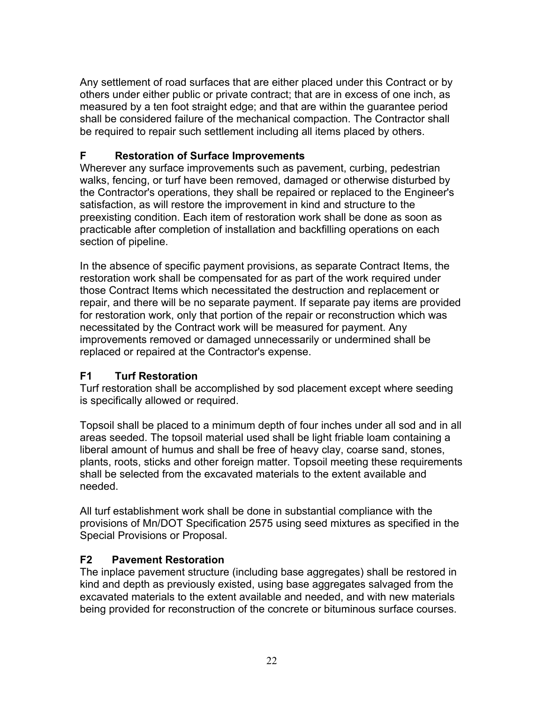<span id="page-21-0"></span>Any settlement of road surfaces that are either placed under this Contract or by others under either public or private contract; that are in excess of one inch, as measured by a ten foot straight edge; and that are within the guarantee period shall be considered failure of the mechanical compaction. The Contractor shall be required to repair such settlement including all items placed by others.

# **F Restoration of Surface Improvements**

Wherever any surface improvements such as pavement, curbing, pedestrian walks, fencing, or turf have been removed, damaged or otherwise disturbed by the Contractor's operations, they shall be repaired or replaced to the Engineer's satisfaction, as will restore the improvement in kind and structure to the preexisting condition. Each item of restoration work shall be done as soon as practicable after completion of installation and backfilling operations on each section of pipeline.

In the absence of specific payment provisions, as separate Contract Items, the restoration work shall be compensated for as part of the work required under those Contract Items which necessitated the destruction and replacement or repair, and there will be no separate payment. If separate pay items are provided for restoration work, only that portion of the repair or reconstruction which was necessitated by the Contract work will be measured for payment. Any improvements removed or damaged unnecessarily or undermined shall be replaced or repaired at the Contractor's expense.

# **F1 Turf Restoration**

Turf restoration shall be accomplished by sod placement except where seeding is specifically allowed or required.

Topsoil shall be placed to a minimum depth of four inches under all sod and in all areas seeded. The topsoil material used shall be light friable loam containing a liberal amount of humus and shall be free of heavy clay, coarse sand, stones, plants, roots, sticks and other foreign matter. Topsoil meeting these requirements shall be selected from the excavated materials to the extent available and needed.

All turf establishment work shall be done in substantial compliance with the provisions of Mn/DOT Specification 2575 using seed mixtures as specified in the Special Provisions or Proposal.

# **F2 Pavement Restoration**

The inplace pavement structure (including base aggregates) shall be restored in kind and depth as previously existed, using base aggregates salvaged from the excavated materials to the extent available and needed, and with new materials being provided for reconstruction of the concrete or bituminous surface courses.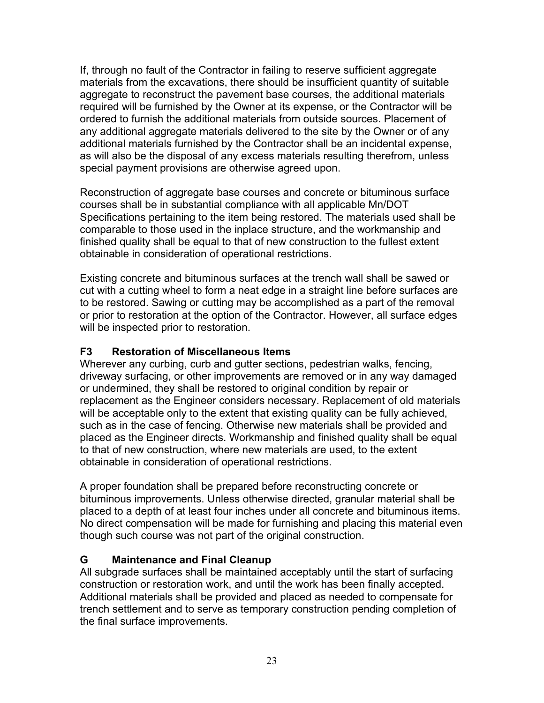<span id="page-22-0"></span>If, through no fault of the Contractor in failing to reserve sufficient aggregate materials from the excavations, there should be insufficient quantity of suitable aggregate to reconstruct the pavement base courses, the additional materials required will be furnished by the Owner at its expense, or the Contractor will be ordered to furnish the additional materials from outside sources. Placement of any additional aggregate materials delivered to the site by the Owner or of any additional materials furnished by the Contractor shall be an incidental expense, as will also be the disposal of any excess materials resulting therefrom, unless special payment provisions are otherwise agreed upon.

Reconstruction of aggregate base courses and concrete or bituminous surface courses shall be in substantial compliance with all applicable Mn/DOT Specifications pertaining to the item being restored. The materials used shall be comparable to those used in the inplace structure, and the workmanship and finished quality shall be equal to that of new construction to the fullest extent obtainable in consideration of operational restrictions.

Existing concrete and bituminous surfaces at the trench wall shall be sawed or cut with a cutting wheel to form a neat edge in a straight line before surfaces are to be restored. Sawing or cutting may be accomplished as a part of the removal or prior to restoration at the option of the Contractor. However, all surface edges will be inspected prior to restoration.

#### **F3 Restoration of Miscellaneous Items**

Wherever any curbing, curb and gutter sections, pedestrian walks, fencing, driveway surfacing, or other improvements are removed or in any way damaged or undermined, they shall be restored to original condition by repair or replacement as the Engineer considers necessary. Replacement of old materials will be acceptable only to the extent that existing quality can be fully achieved, such as in the case of fencing. Otherwise new materials shall be provided and placed as the Engineer directs. Workmanship and finished quality shall be equal to that of new construction, where new materials are used, to the extent obtainable in consideration of operational restrictions.

A proper foundation shall be prepared before reconstructing concrete or bituminous improvements. Unless otherwise directed, granular material shall be placed to a depth of at least four inches under all concrete and bituminous items. No direct compensation will be made for furnishing and placing this material even though such course was not part of the original construction.

# **G Maintenance and Final Cleanup**

All subgrade surfaces shall be maintained acceptably until the start of surfacing construction or restoration work, and until the work has been finally accepted. Additional materials shall be provided and placed as needed to compensate for trench settlement and to serve as temporary construction pending completion of the final surface improvements.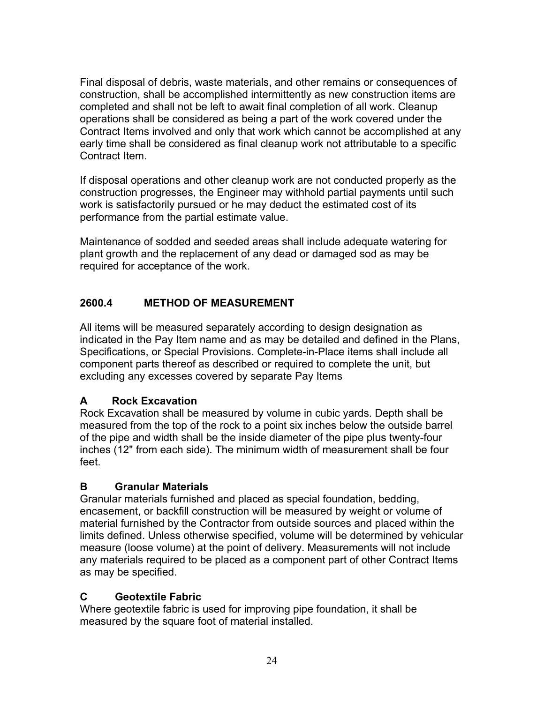<span id="page-23-0"></span>Final disposal of debris, waste materials, and other remains or consequences of construction, shall be accomplished intermittently as new construction items are completed and shall not be left to await final completion of all work. Cleanup operations shall be considered as being a part of the work covered under the Contract Items involved and only that work which cannot be accomplished at any early time shall be considered as final cleanup work not attributable to a specific Contract Item.

If disposal operations and other cleanup work are not conducted properly as the construction progresses, the Engineer may withhold partial payments until such work is satisfactorily pursued or he may deduct the estimated cost of its performance from the partial estimate value.

Maintenance of sodded and seeded areas shall include adequate watering for plant growth and the replacement of any dead or damaged sod as may be required for acceptance of the work.

# **2600.4 METHOD OF MEASUREMENT**

All items will be measured separately according to design designation as indicated in the Pay Item name and as may be detailed and defined in the Plans, Specifications, or Special Provisions. Complete-in-Place items shall include all component parts thereof as described or required to complete the unit, but excluding any excesses covered by separate Pay Items

# **A Rock Excavation**

Rock Excavation shall be measured by volume in cubic yards. Depth shall be measured from the top of the rock to a point six inches below the outside barrel of the pipe and width shall be the inside diameter of the pipe plus twenty-four inches (12" from each side). The minimum width of measurement shall be four feet.

# **B Granular Materials**

Granular materials furnished and placed as special foundation, bedding, encasement, or backfill construction will be measured by weight or volume of material furnished by the Contractor from outside sources and placed within the limits defined. Unless otherwise specified, volume will be determined by vehicular measure (loose volume) at the point of delivery. Measurements will not include any materials required to be placed as a component part of other Contract Items as may be specified.

# **C Geotextile Fabric**

Where geotextile fabric is used for improving pipe foundation, it shall be measured by the square foot of material installed.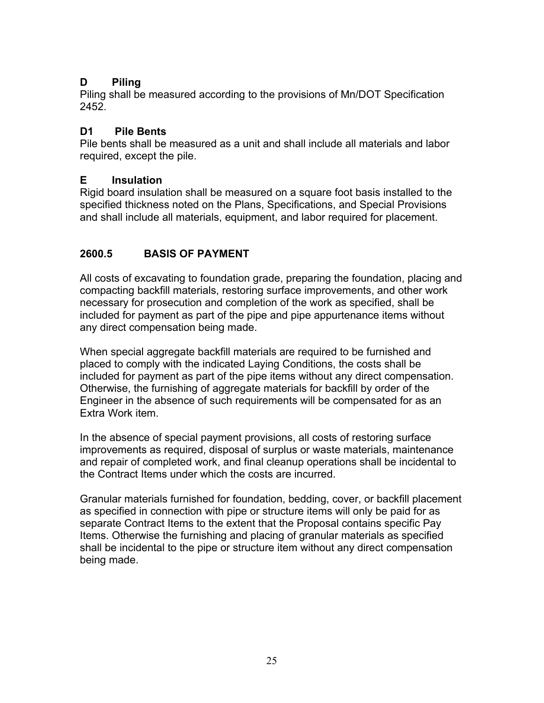# <span id="page-24-0"></span>**D Piling**

Piling shall be measured according to the provisions of Mn/DOT Specification 2452.

# **D1 Pile Bents**

Pile bents shall be measured as a unit and shall include all materials and labor required, except the pile.

# **E Insulation**

Rigid board insulation shall be measured on a square foot basis installed to the specified thickness noted on the Plans, Specifications, and Special Provisions and shall include all materials, equipment, and labor required for placement.

# **2600.5 BASIS OF PAYMENT**

All costs of excavating to foundation grade, preparing the foundation, placing and compacting backfill materials, restoring surface improvements, and other work necessary for prosecution and completion of the work as specified, shall be included for payment as part of the pipe and pipe appurtenance items without any direct compensation being made.

When special aggregate backfill materials are required to be furnished and placed to comply with the indicated Laying Conditions, the costs shall be included for payment as part of the pipe items without any direct compensation. Otherwise, the furnishing of aggregate materials for backfill by order of the Engineer in the absence of such requirements will be compensated for as an Extra Work item.

In the absence of special payment provisions, all costs of restoring surface improvements as required, disposal of surplus or waste materials, maintenance and repair of completed work, and final cleanup operations shall be incidental to the Contract Items under which the costs are incurred.

Granular materials furnished for foundation, bedding, cover, or backfill placement as specified in connection with pipe or structure items will only be paid for as separate Contract Items to the extent that the Proposal contains specific Pay Items. Otherwise the furnishing and placing of granular materials as specified shall be incidental to the pipe or structure item without any direct compensation being made.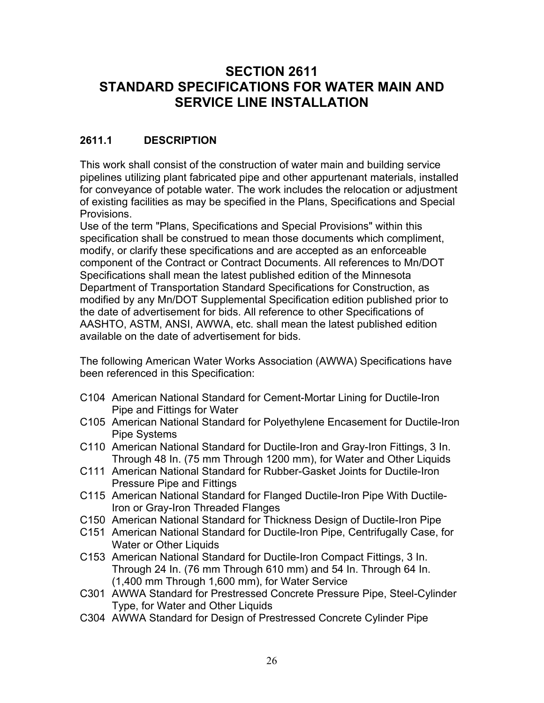# <span id="page-25-0"></span>**SECTION 2611 STANDARD SPECIFICATIONS FOR WATER MAIN AND SERVICE LINE INSTALLATION**

# **2611.1 DESCRIPTION**

This work shall consist of the construction of water main and building service pipelines utilizing plant fabricated pipe and other appurtenant materials, installed for conveyance of potable water. The work includes the relocation or adjustment of existing facilities as may be specified in the Plans, Specifications and Special Provisions.

Use of the term "Plans, Specifications and Special Provisions" within this specification shall be construed to mean those documents which compliment, modify, or clarify these specifications and are accepted as an enforceable component of the Contract or Contract Documents. All references to Mn/DOT Specifications shall mean the latest published edition of the Minnesota Department of Transportation Standard Specifications for Construction, as modified by any Mn/DOT Supplemental Specification edition published prior to the date of advertisement for bids. All reference to other Specifications of AASHTO, ASTM, ANSI, AWWA, etc. shall mean the latest published edition available on the date of advertisement for bids.

The following American Water Works Association (AWWA) Specifications have been referenced in this Specification:

- C104 American National Standard for Cement-Mortar Lining for Ductile-Iron Pipe and Fittings for Water
- C105 American National Standard for Polyethylene Encasement for Ductile-Iron Pipe Systems
- C110 American National Standard for Ductile-Iron and Gray-Iron Fittings, 3 In. Through 48 In. (75 mm Through 1200 mm), for Water and Other Liquids
- C111 American National Standard for Rubber-Gasket Joints for Ductile-Iron Pressure Pipe and Fittings
- C115 American National Standard for Flanged Ductile-Iron Pipe With Ductile-Iron or Gray-Iron Threaded Flanges
- C150 American National Standard for Thickness Design of Ductile-Iron Pipe
- C151 American National Standard for Ductile-Iron Pipe, Centrifugally Case, for Water or Other Liquids
- C153 American National Standard for Ductile-Iron Compact Fittings, 3 In. Through 24 In. (76 mm Through 610 mm) and 54 In. Through 64 In. (1,400 mm Through 1,600 mm), for Water Service
- C301 AWWA Standard for Prestressed Concrete Pressure Pipe, Steel-Cylinder Type, for Water and Other Liquids
- C304 AWWA Standard for Design of Prestressed Concrete Cylinder Pipe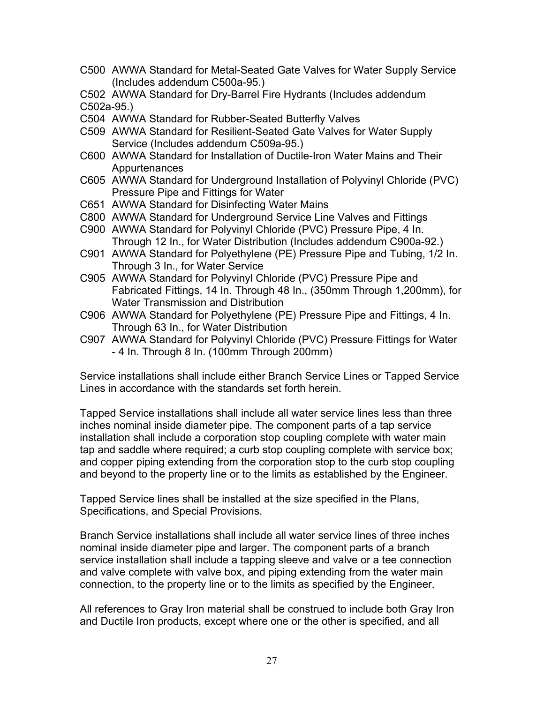C500 AWWA Standard for Metal-Seated Gate Valves for Water Supply Service (Includes addendum C500a-95.)

C502 AWWA Standard for Dry-Barrel Fire Hydrants (Includes addendum C502a-95.)

- C504 AWWA Standard for Rubber-Seated Butterfly Valves
- C509 AWWA Standard for Resilient-Seated Gate Valves for Water Supply Service (Includes addendum C509a-95.)
- C600 AWWA Standard for Installation of Ductile-Iron Water Mains and Their **Appurtenances**
- C605 AWWA Standard for Underground Installation of Polyvinyl Chloride (PVC) Pressure Pipe and Fittings for Water
- C651 AWWA Standard for Disinfecting Water Mains
- C800 AWWA Standard for Underground Service Line Valves and Fittings
- C900 AWWA Standard for Polyvinyl Chloride (PVC) Pressure Pipe, 4 In. Through 12 In., for Water Distribution (Includes addendum C900a-92.)
- C901 AWWA Standard for Polyethylene (PE) Pressure Pipe and Tubing, 1/2 In. Through 3 In., for Water Service
- C905 AWWA Standard for Polyvinyl Chloride (PVC) Pressure Pipe and Fabricated Fittings, 14 In. Through 48 In., (350mm Through 1,200mm), for Water Transmission and Distribution
- C906 AWWA Standard for Polyethylene (PE) Pressure Pipe and Fittings, 4 In. Through 63 In., for Water Distribution
- C907 AWWA Standard for Polyvinyl Chloride (PVC) Pressure Fittings for Water - 4 In. Through 8 In. (100mm Through 200mm)

Service installations shall include either Branch Service Lines or Tapped Service Lines in accordance with the standards set forth herein.

Tapped Service installations shall include all water service lines less than three inches nominal inside diameter pipe. The component parts of a tap service installation shall include a corporation stop coupling complete with water main tap and saddle where required; a curb stop coupling complete with service box; and copper piping extending from the corporation stop to the curb stop coupling and beyond to the property line or to the limits as established by the Engineer.

Tapped Service lines shall be installed at the size specified in the Plans, Specifications, and Special Provisions.

Branch Service installations shall include all water service lines of three inches nominal inside diameter pipe and larger. The component parts of a branch service installation shall include a tapping sleeve and valve or a tee connection and valve complete with valve box, and piping extending from the water main connection, to the property line or to the limits as specified by the Engineer.

All references to Gray Iron material shall be construed to include both Gray Iron and Ductile Iron products, except where one or the other is specified, and all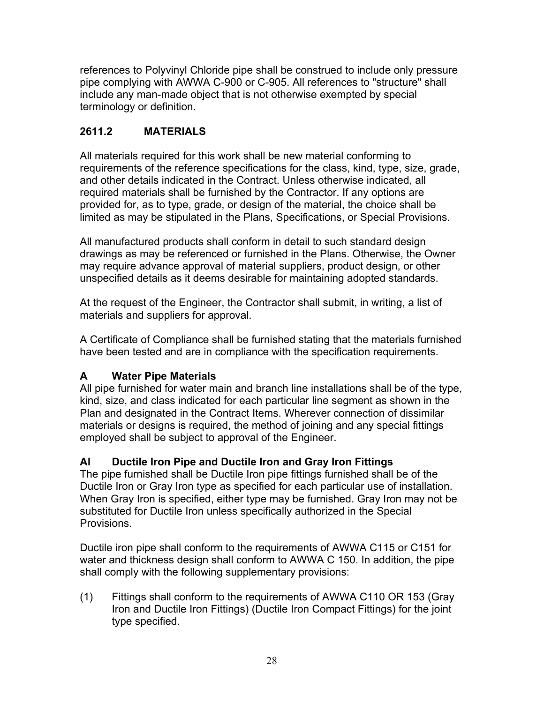<span id="page-27-0"></span>references to Polyvinyl Chloride pipe shall be construed to include only pressure pipe complying with AWWA C-900 or C-905. All references to "structure" shall include any man-made object that is not otherwise exempted by special terminology or definition.

# **2611.2 MATERIALS**

All materials required for this work shall be new material conforming to requirements of the reference specifications for the class, kind, type, size, grade, and other details indicated in the Contract. Unless otherwise indicated, all required materials shall be furnished by the Contractor. If any options are provided for, as to type, grade, or design of the material, the choice shall be limited as may be stipulated in the Plans, Specifications, or Special Provisions.

All manufactured products shall conform in detail to such standard design drawings as may be referenced or furnished in the Plans. Otherwise, the Owner may require advance approval of material suppliers, product design, or other unspecified details as it deems desirable for maintaining adopted standards.

At the request of the Engineer, the Contractor shall submit, in writing, a list of materials and suppliers for approval.

A Certificate of Compliance shall be furnished stating that the materials furnished have been tested and are in compliance with the specification requirements.

# **A Water Pipe Materials**

All pipe furnished for water main and branch line installations shall be of the type, kind, size, and class indicated for each particular line segment as shown in the Plan and designated in the Contract Items. Wherever connection of dissimilar materials or designs is required, the method of joining and any special fittings employed shall be subject to approval of the Engineer.

# **Al Ductile Iron Pipe and Ductile Iron and Gray Iron Fittings**

The pipe furnished shall be Ductile Iron pipe fittings furnished shall be of the Ductile Iron or Gray Iron type as specified for each particular use of installation. When Gray Iron is specified, either type may be furnished. Gray Iron may not be substituted for Ductile Iron unless specifically authorized in the Special Provisions.

Ductile iron pipe shall conform to the requirements of AWWA C115 or C151 for water and thickness design shall conform to AWWA C 150. In addition, the pipe shall comply with the following supplementary provisions:

(1) Fittings shall conform to the requirements of AWWA C110 OR 153 (Gray Iron and Ductile Iron Fittings) (Ductile Iron Compact Fittings) for the joint type specified.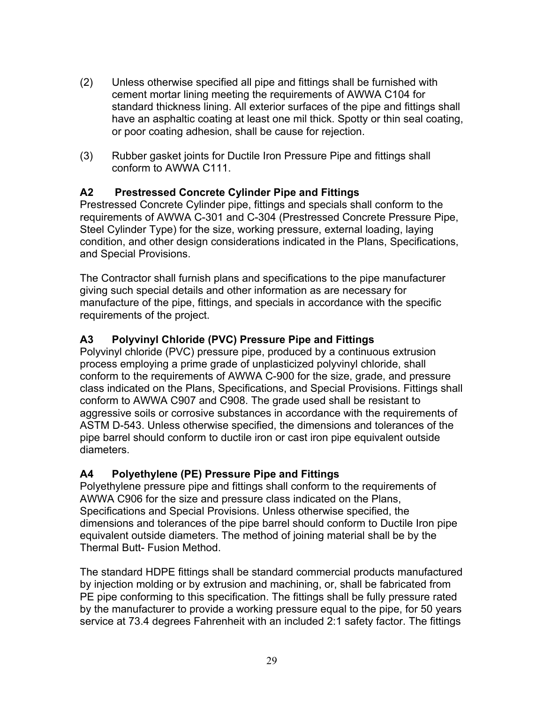- <span id="page-28-0"></span>(2) Unless otherwise specified all pipe and fittings shall be furnished with cement mortar lining meeting the requirements of AWWA C104 for standard thickness lining. All exterior surfaces of the pipe and fittings shall have an asphaltic coating at least one mil thick. Spotty or thin seal coating, or poor coating adhesion, shall be cause for rejection.
- (3) Rubber gasket joints for Ductile Iron Pressure Pipe and fittings shall conform to AWWA C111.

#### **A2 Prestressed Concrete Cylinder Pipe and Fittings**

Prestressed Concrete Cylinder pipe, fittings and specials shall conform to the requirements of AWWA C-301 and C-304 (Prestressed Concrete Pressure Pipe, Steel Cylinder Type) for the size, working pressure, external loading, laying condition, and other design considerations indicated in the Plans, Specifications, and Special Provisions.

The Contractor shall furnish plans and specifications to the pipe manufacturer giving such special details and other information as are necessary for manufacture of the pipe, fittings, and specials in accordance with the specific requirements of the project.

#### **A3 Polyvinyl Chloride (PVC) Pressure Pipe and Fittings**

Polyvinyl chloride (PVC) pressure pipe, produced by a continuous extrusion process employing a prime grade of unplasticized polyvinyl chloride, shall conform to the requirements of AWWA C-900 for the size, grade, and pressure class indicated on the Plans, Specifications, and Special Provisions. Fittings shall conform to AWWA C907 and C908. The grade used shall be resistant to aggressive soils or corrosive substances in accordance with the requirements of ASTM D-543. Unless otherwise specified, the dimensions and tolerances of the pipe barrel should conform to ductile iron or cast iron pipe equivalent outside diameters.

#### **A4 Polyethylene (PE) Pressure Pipe and Fittings**

Polyethylene pressure pipe and fittings shall conform to the requirements of AWWA C906 for the size and pressure class indicated on the Plans, Specifications and Special Provisions. Unless otherwise specified, the dimensions and tolerances of the pipe barrel should conform to Ductile Iron pipe equivalent outside diameters. The method of joining material shall be by the Thermal Butt- Fusion Method.

The standard HDPE fittings shall be standard commercial products manufactured by injection molding or by extrusion and machining, or, shall be fabricated from PE pipe conforming to this specification. The fittings shall be fully pressure rated by the manufacturer to provide a working pressure equal to the pipe, for 50 years service at 73.4 degrees Fahrenheit with an included 2:1 safety factor. The fittings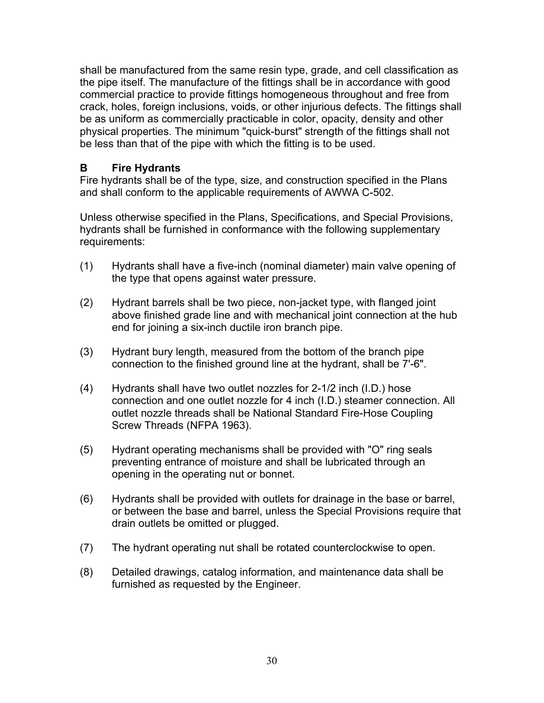<span id="page-29-0"></span>shall be manufactured from the same resin type, grade, and cell classification as the pipe itself. The manufacture of the fittings shall be in accordance with good commercial practice to provide fittings homogeneous throughout and free from crack, holes, foreign inclusions, voids, or other injurious defects. The fittings shall be as uniform as commercially practicable in color, opacity, density and other physical properties. The minimum "quick-burst" strength of the fittings shall not be less than that of the pipe with which the fitting is to be used.

#### **B Fire Hydrants**

Fire hydrants shall be of the type, size, and construction specified in the Plans and shall conform to the applicable requirements of AWWA C-502.

Unless otherwise specified in the Plans, Specifications, and Special Provisions, hydrants shall be furnished in conformance with the following supplementary requirements:

- (1) Hydrants shall have a five-inch (nominal diameter) main valve opening of the type that opens against water pressure.
- (2) Hydrant barrels shall be two piece, non-jacket type, with flanged joint above finished grade line and with mechanical joint connection at the hub end for joining a six-inch ductile iron branch pipe.
- (3) Hydrant bury length, measured from the bottom of the branch pipe connection to the finished ground line at the hydrant, shall be 7'-6".
- (4) Hydrants shall have two outlet nozzles for 2-1/2 inch (I.D.) hose connection and one outlet nozzle for 4 inch (I.D.) steamer connection. All outlet nozzle threads shall be National Standard Fire-Hose Coupling Screw Threads (NFPA 1963).
- (5) Hydrant operating mechanisms shall be provided with "O" ring seals preventing entrance of moisture and shall be lubricated through an opening in the operating nut or bonnet.
- (6) Hydrants shall be provided with outlets for drainage in the base or barrel, or between the base and barrel, unless the Special Provisions require that drain outlets be omitted or plugged.
- (7) The hydrant operating nut shall be rotated counterclockwise to open.
- (8) Detailed drawings, catalog information, and maintenance data shall be furnished as requested by the Engineer.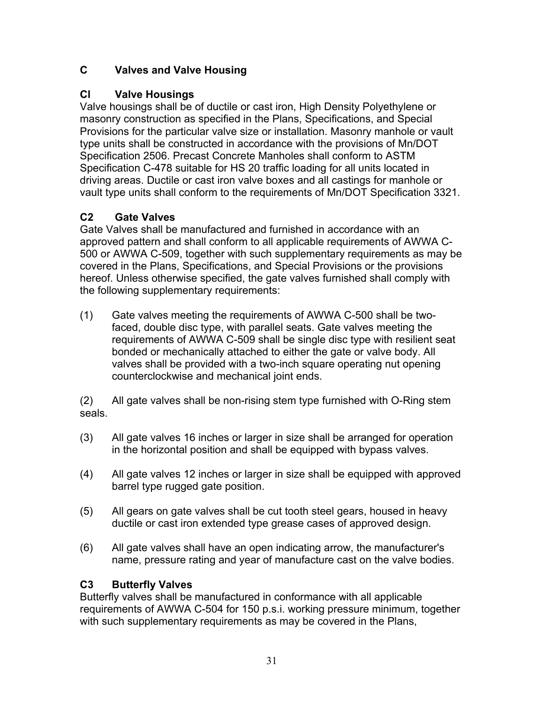# <span id="page-30-0"></span>**C Valves and Valve Housing**

# **Cl Valve Housings**

Valve housings shall be of ductile or cast iron, High Density Polyethylene or masonry construction as specified in the Plans, Specifications, and Special Provisions for the particular valve size or installation. Masonry manhole or vault type units shall be constructed in accordance with the provisions of Mn/DOT Specification 2506. Precast Concrete Manholes shall conform to ASTM Specification C-478 suitable for HS 20 traffic loading for all units located in driving areas. Ductile or cast iron valve boxes and all castings for manhole or vault type units shall conform to the requirements of Mn/DOT Specification 3321.

# **C2 Gate Valves**

Gate Valves shall be manufactured and furnished in accordance with an approved pattern and shall conform to all applicable requirements of AWWA C-500 or AWWA C-509, together with such supplementary requirements as may be covered in the Plans, Specifications, and Special Provisions or the provisions hereof. Unless otherwise specified, the gate valves furnished shall comply with the following supplementary requirements:

(1) Gate valves meeting the requirements of AWWA C-500 shall be twofaced, double disc type, with parallel seats. Gate valves meeting the requirements of AWWA C-509 shall be single disc type with resilient seat bonded or mechanically attached to either the gate or valve body. All valves shall be provided with a two-inch square operating nut opening counterclockwise and mechanical joint ends.

(2) All gate valves shall be non-rising stem type furnished with O-Ring stem seals.

- (3) All gate valves 16 inches or larger in size shall be arranged for operation in the horizontal position and shall be equipped with bypass valves.
- (4) All gate valves 12 inches or larger in size shall be equipped with approved barrel type rugged gate position.
- (5) All gears on gate valves shall be cut tooth steel gears, housed in heavy ductile or cast iron extended type grease cases of approved design.
- (6) All gate valves shall have an open indicating arrow, the manufacturer's name, pressure rating and year of manufacture cast on the valve bodies.

# **C3 Butterfly Valves**

Butterfly valves shall be manufactured in conformance with all applicable requirements of AWWA C-504 for 150 p.s.i. working pressure minimum, together with such supplementary requirements as may be covered in the Plans,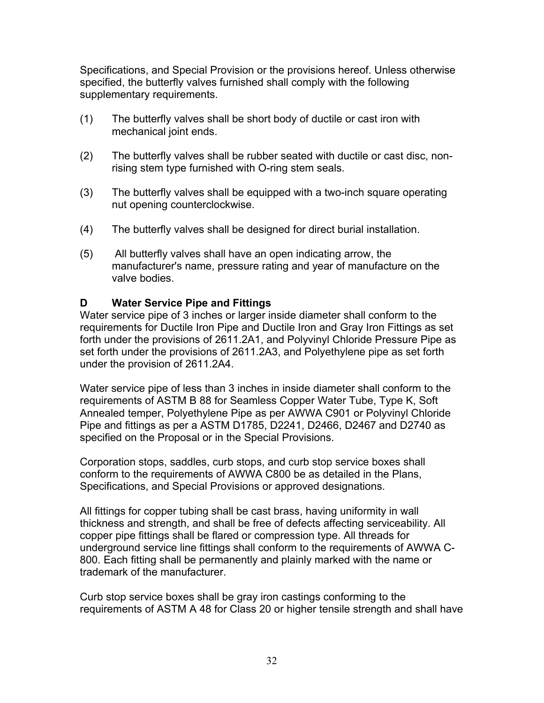<span id="page-31-0"></span>Specifications, and Special Provision or the provisions hereof. Unless otherwise specified, the butterfly valves furnished shall comply with the following supplementary requirements.

- (1) The butterfly valves shall be short body of ductile or cast iron with mechanical joint ends.
- (2) The butterfly valves shall be rubber seated with ductile or cast disc, nonrising stem type furnished with O-ring stem seals.
- (3) The butterfly valves shall be equipped with a two-inch square operating nut opening counterclockwise.
- (4) The butterfly valves shall be designed for direct burial installation.
- (5) All butterfly valves shall have an open indicating arrow, the manufacturer's name, pressure rating and year of manufacture on the valve bodies.

#### **D Water Service Pipe and Fittings**

Water service pipe of 3 inches or larger inside diameter shall conform to the requirements for Ductile Iron Pipe and Ductile Iron and Gray Iron Fittings as set forth under the provisions of 2611.2A1, and Polyvinyl Chloride Pressure Pipe as set forth under the provisions of 2611.2A3, and Polyethylene pipe as set forth under the provision of 2611.2A4.

Water service pipe of less than 3 inches in inside diameter shall conform to the requirements of ASTM B 88 for Seamless Copper Water Tube, Type K, Soft Annealed temper, Polyethylene Pipe as per AWWA C901 or Polyvinyl Chloride Pipe and fittings as per a ASTM D1785, D2241, D2466, D2467 and D2740 as specified on the Proposal or in the Special Provisions.

Corporation stops, saddles, curb stops, and curb stop service boxes shall conform to the requirements of AWWA C800 be as detailed in the Plans, Specifications, and Special Provisions or approved designations.

All fittings for copper tubing shall be cast brass, having uniformity in wall thickness and strength, and shall be free of defects affecting serviceability. All copper pipe fittings shall be flared or compression type. All threads for underground service line fittings shall conform to the requirements of AWWA C-800. Each fitting shall be permanently and plainly marked with the name or trademark of the manufacturer.

Curb stop service boxes shall be gray iron castings conforming to the requirements of ASTM A 48 for Class 20 or higher tensile strength and shall have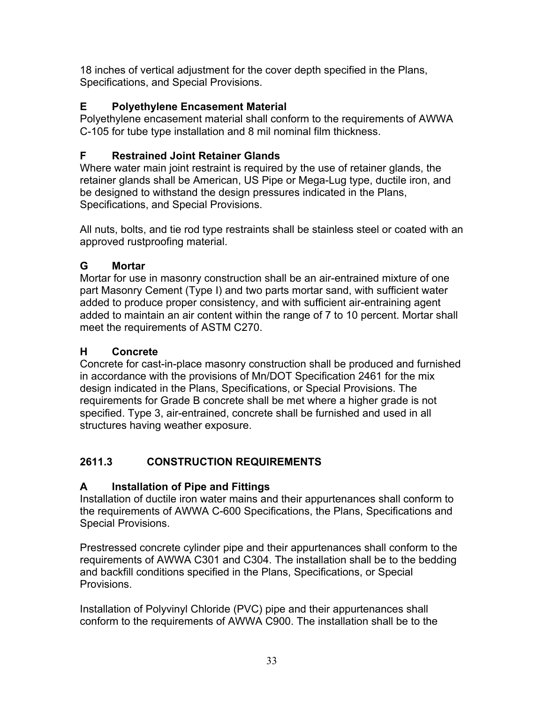<span id="page-32-0"></span>18 inches of vertical adjustment for the cover depth specified in the Plans, Specifications, and Special Provisions.

# **E Polyethylene Encasement Material**

Polyethylene encasement material shall conform to the requirements of AWWA C-105 for tube type installation and 8 mil nominal film thickness.

# **F Restrained Joint Retainer Glands**

Where water main joint restraint is required by the use of retainer glands, the retainer glands shall be American, US Pipe or Mega-Lug type, ductile iron, and be designed to withstand the design pressures indicated in the Plans, Specifications, and Special Provisions.

All nuts, bolts, and tie rod type restraints shall be stainless steel or coated with an approved rustproofing material.

# **G Mortar**

Mortar for use in masonry construction shall be an air-entrained mixture of one part Masonry Cement (Type I) and two parts mortar sand, with sufficient water added to produce proper consistency, and with sufficient air-entraining agent added to maintain an air content within the range of 7 to 10 percent. Mortar shall meet the requirements of ASTM C270.

# **H Concrete**

Concrete for cast-in-place masonry construction shall be produced and furnished in accordance with the provisions of Mn/DOT Specification 2461 for the mix design indicated in the Plans, Specifications, or Special Provisions. The requirements for Grade B concrete shall be met where a higher grade is not specified. Type 3, air-entrained, concrete shall be furnished and used in all structures having weather exposure.

# **2611.3 CONSTRUCTION REQUIREMENTS**

# **A Installation of Pipe and Fittings**

Installation of ductile iron water mains and their appurtenances shall conform to the requirements of AWWA C-600 Specifications, the Plans, Specifications and Special Provisions.

Prestressed concrete cylinder pipe and their appurtenances shall conform to the requirements of AWWA C301 and C304. The installation shall be to the bedding and backfill conditions specified in the Plans, Specifications, or Special Provisions.

Installation of Polyvinyl Chloride (PVC) pipe and their appurtenances shall conform to the requirements of AWWA C900. The installation shall be to the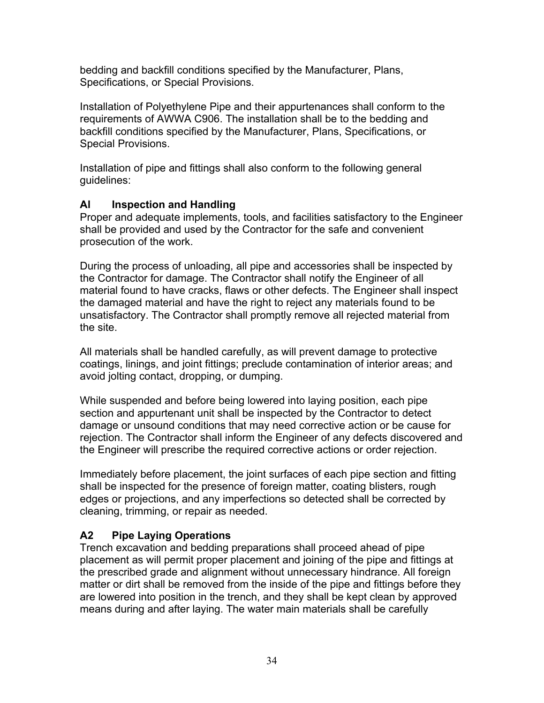<span id="page-33-0"></span>bedding and backfill conditions specified by the Manufacturer, Plans, Specifications, or Special Provisions.

Installation of Polyethylene Pipe and their appurtenances shall conform to the requirements of AWWA C906. The installation shall be to the bedding and backfill conditions specified by the Manufacturer, Plans, Specifications, or Special Provisions.

Installation of pipe and fittings shall also conform to the following general guidelines:

#### **Al Inspection and Handling**

Proper and adequate implements, tools, and facilities satisfactory to the Engineer shall be provided and used by the Contractor for the safe and convenient prosecution of the work.

During the process of unloading, all pipe and accessories shall be inspected by the Contractor for damage. The Contractor shall notify the Engineer of all material found to have cracks, flaws or other defects. The Engineer shall inspect the damaged material and have the right to reject any materials found to be unsatisfactory. The Contractor shall promptly remove all rejected material from the site.

All materials shall be handled carefully, as will prevent damage to protective coatings, linings, and joint fittings; preclude contamination of interior areas; and avoid jolting contact, dropping, or dumping.

While suspended and before being lowered into laying position, each pipe section and appurtenant unit shall be inspected by the Contractor to detect damage or unsound conditions that may need corrective action or be cause for rejection. The Contractor shall inform the Engineer of any defects discovered and the Engineer will prescribe the required corrective actions or order rejection.

Immediately before placement, the joint surfaces of each pipe section and fitting shall be inspected for the presence of foreign matter, coating blisters, rough edges or projections, and any imperfections so detected shall be corrected by cleaning, trimming, or repair as needed.

#### **A2 Pipe Laying Operations**

Trench excavation and bedding preparations shall proceed ahead of pipe placement as will permit proper placement and joining of the pipe and fittings at the prescribed grade and alignment without unnecessary hindrance. All foreign matter or dirt shall be removed from the inside of the pipe and fittings before they are lowered into position in the trench, and they shall be kept clean by approved means during and after laying. The water main materials shall be carefully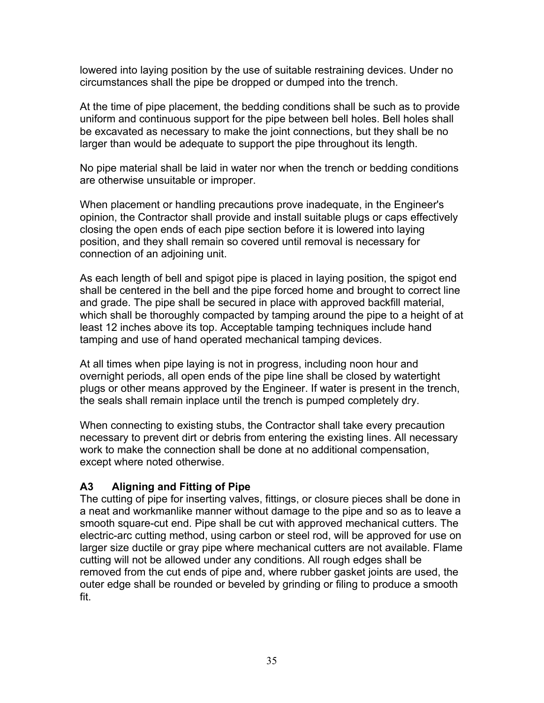<span id="page-34-0"></span>lowered into laying position by the use of suitable restraining devices. Under no circumstances shall the pipe be dropped or dumped into the trench.

At the time of pipe placement, the bedding conditions shall be such as to provide uniform and continuous support for the pipe between bell holes. Bell holes shall be excavated as necessary to make the joint connections, but they shall be no larger than would be adequate to support the pipe throughout its length.

No pipe material shall be laid in water nor when the trench or bedding conditions are otherwise unsuitable or improper.

When placement or handling precautions prove inadequate, in the Engineer's opinion, the Contractor shall provide and install suitable plugs or caps effectively closing the open ends of each pipe section before it is lowered into laying position, and they shall remain so covered until removal is necessary for connection of an adjoining unit.

As each length of bell and spigot pipe is placed in laying position, the spigot end shall be centered in the bell and the pipe forced home and brought to correct line and grade. The pipe shall be secured in place with approved backfill material, which shall be thoroughly compacted by tamping around the pipe to a height of at least 12 inches above its top. Acceptable tamping techniques include hand tamping and use of hand operated mechanical tamping devices.

At all times when pipe laying is not in progress, including noon hour and overnight periods, all open ends of the pipe line shall be closed by watertight plugs or other means approved by the Engineer. If water is present in the trench, the seals shall remain inplace until the trench is pumped completely dry.

When connecting to existing stubs, the Contractor shall take every precaution necessary to prevent dirt or debris from entering the existing lines. All necessary work to make the connection shall be done at no additional compensation, except where noted otherwise.

# **A3 Aligning and Fitting of Pipe**

The cutting of pipe for inserting valves, fittings, or closure pieces shall be done in a neat and workmanlike manner without damage to the pipe and so as to leave a smooth square-cut end. Pipe shall be cut with approved mechanical cutters. The electric-arc cutting method, using carbon or steel rod, will be approved for use on larger size ductile or gray pipe where mechanical cutters are not available. Flame cutting will not be allowed under any conditions. All rough edges shall be removed from the cut ends of pipe and, where rubber gasket joints are used, the outer edge shall be rounded or beveled by grinding or filing to produce a smooth fit.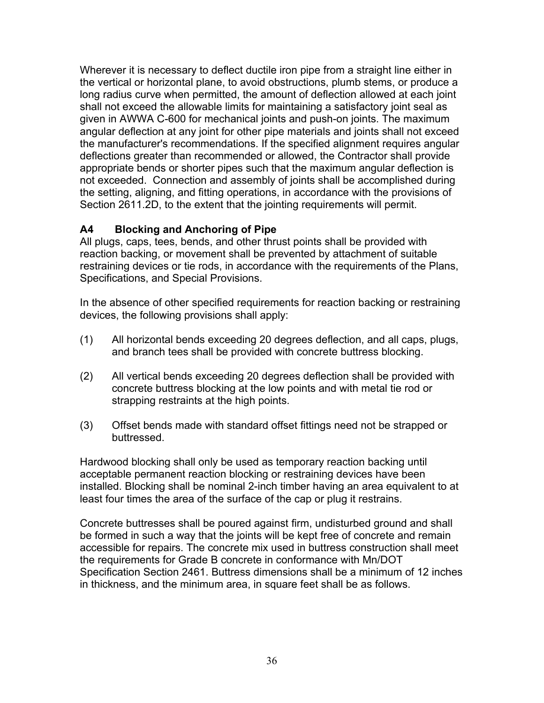<span id="page-35-0"></span>Wherever it is necessary to deflect ductile iron pipe from a straight line either in the vertical or horizontal plane, to avoid obstructions, plumb stems, or produce a long radius curve when permitted, the amount of deflection allowed at each joint shall not exceed the allowable limits for maintaining a satisfactory joint seal as given in AWWA C-600 for mechanical joints and push-on joints. The maximum angular deflection at any joint for other pipe materials and joints shall not exceed the manufacturer's recommendations. If the specified alignment requires angular deflections greater than recommended or allowed, the Contractor shall provide appropriate bends or shorter pipes such that the maximum angular deflection is not exceeded. Connection and assembly of joints shall be accomplished during the setting, aligning, and fitting operations, in accordance with the provisions of Section 2611.2D, to the extent that the jointing requirements will permit.

#### **A4 Blocking and Anchoring of Pipe**

All plugs, caps, tees, bends, and other thrust points shall be provided with reaction backing, or movement shall be prevented by attachment of suitable restraining devices or tie rods, in accordance with the requirements of the Plans, Specifications, and Special Provisions.

In the absence of other specified requirements for reaction backing or restraining devices, the following provisions shall apply:

- (1) All horizontal bends exceeding 20 degrees deflection, and all caps, plugs, and branch tees shall be provided with concrete buttress blocking.
- (2) All vertical bends exceeding 20 degrees deflection shall be provided with concrete buttress blocking at the low points and with metal tie rod or strapping restraints at the high points.
- (3) Offset bends made with standard offset fittings need not be strapped or buttressed.

Hardwood blocking shall only be used as temporary reaction backing until acceptable permanent reaction blocking or restraining devices have been installed. Blocking shall be nominal 2-inch timber having an area equivalent to at least four times the area of the surface of the cap or plug it restrains.

Concrete buttresses shall be poured against firm, undisturbed ground and shall be formed in such a way that the joints will be kept free of concrete and remain accessible for repairs. The concrete mix used in buttress construction shall meet the requirements for Grade B concrete in conformance with Mn/DOT Specification Section 2461. Buttress dimensions shall be a minimum of 12 inches in thickness, and the minimum area, in square feet shall be as follows.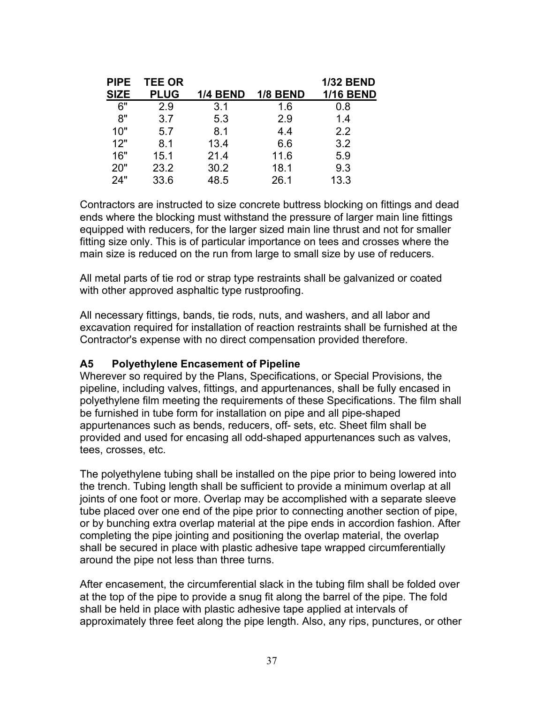<span id="page-36-0"></span>

| <b>PIPE</b> | <b>TEE OR</b> |             |                 | <b>1/32 BEND</b> |
|-------------|---------------|-------------|-----------------|------------------|
|             |               |             |                 | <b>1/16 BEND</b> |
| 6"          | 2.9           | 3.1         | 1.6             | 0.8              |
| 8"          | 3.7           | 5.3         | 2.9             | 1.4              |
| 10"         | 5.7           | 8.1         | 4.4             | 2.2              |
| 12"         | 8.1           | 13.4        | 6.6             | 3.2              |
| 16"         | 15.1          | 21.4        | 11.6            | 5.9              |
| 20"         | 23.2          | 30.2        | 18.1            | 9.3              |
| 24"         | 33.6          | 48.5        | 26.1            | 13.3             |
|             | <b>SIZE</b>   | <b>PLUG</b> | <b>1/4 BEND</b> | <b>1/8 BEND</b>  |

Contractors are instructed to size concrete buttress blocking on fittings and dead ends where the blocking must withstand the pressure of larger main line fittings equipped with reducers, for the larger sized main line thrust and not for smaller fitting size only. This is of particular importance on tees and crosses where the main size is reduced on the run from large to small size by use of reducers.

All metal parts of tie rod or strap type restraints shall be galvanized or coated with other approved asphaltic type rustproofing.

All necessary fittings, bands, tie rods, nuts, and washers, and all labor and excavation required for installation of reaction restraints shall be furnished at the Contractor's expense with no direct compensation provided therefore.

#### **A5 Polyethylene Encasement of Pipeline**

Wherever so required by the Plans, Specifications, or Special Provisions, the pipeline, including valves, fittings, and appurtenances, shall be fully encased in polyethylene film meeting the requirements of these Specifications. The film shall be furnished in tube form for installation on pipe and all pipe-shaped appurtenances such as bends, reducers, off- sets, etc. Sheet film shall be provided and used for encasing all odd-shaped appurtenances such as valves, tees, crosses, etc.

The polyethylene tubing shall be installed on the pipe prior to being lowered into the trench. Tubing length shall be sufficient to provide a minimum overlap at all joints of one foot or more. Overlap may be accomplished with a separate sleeve tube placed over one end of the pipe prior to connecting another section of pipe, or by bunching extra overlap material at the pipe ends in accordion fashion. After completing the pipe jointing and positioning the overlap material, the overlap shall be secured in place with plastic adhesive tape wrapped circumferentially around the pipe not less than three turns.

After encasement, the circumferential slack in the tubing film shall be folded over at the top of the pipe to provide a snug fit along the barrel of the pipe. The fold shall be held in place with plastic adhesive tape applied at intervals of approximately three feet along the pipe length. Also, any rips, punctures, or other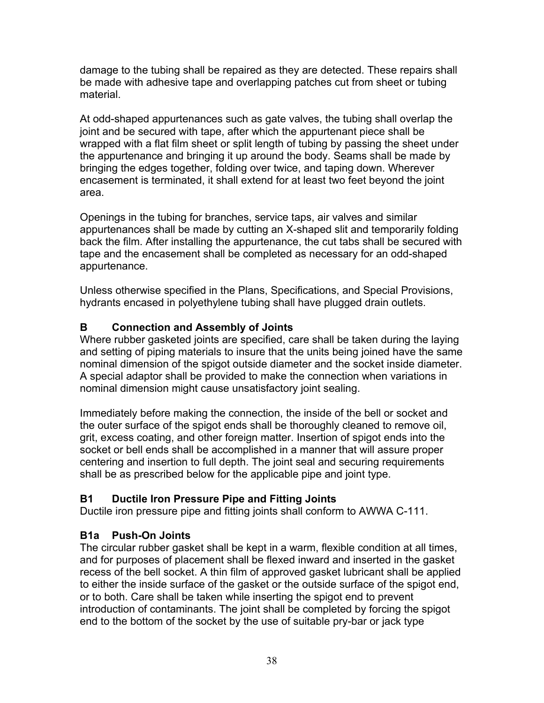<span id="page-37-0"></span>damage to the tubing shall be repaired as they are detected. These repairs shall be made with adhesive tape and overlapping patches cut from sheet or tubing material.

At odd-shaped appurtenances such as gate valves, the tubing shall overlap the joint and be secured with tape, after which the appurtenant piece shall be wrapped with a flat film sheet or split length of tubing by passing the sheet under the appurtenance and bringing it up around the body. Seams shall be made by bringing the edges together, folding over twice, and taping down. Wherever encasement is terminated, it shall extend for at least two feet beyond the joint area.

Openings in the tubing for branches, service taps, air valves and similar appurtenances shall be made by cutting an X-shaped slit and temporarily folding back the film. After installing the appurtenance, the cut tabs shall be secured with tape and the encasement shall be completed as necessary for an odd-shaped appurtenance.

Unless otherwise specified in the Plans, Specifications, and Special Provisions, hydrants encased in polyethylene tubing shall have plugged drain outlets.

# **B Connection and Assembly of Joints**

Where rubber gasketed joints are specified, care shall be taken during the laying and setting of piping materials to insure that the units being joined have the same nominal dimension of the spigot outside diameter and the socket inside diameter. A special adaptor shall be provided to make the connection when variations in nominal dimension might cause unsatisfactory joint sealing.

Immediately before making the connection, the inside of the bell or socket and the outer surface of the spigot ends shall be thoroughly cleaned to remove oil, grit, excess coating, and other foreign matter. Insertion of spigot ends into the socket or bell ends shall be accomplished in a manner that will assure proper centering and insertion to full depth. The joint seal and securing requirements shall be as prescribed below for the applicable pipe and joint type.

# **B1 Ductile Iron Pressure Pipe and Fitting Joints**

Ductile iron pressure pipe and fitting joints shall conform to AWWA C-111.

# **B1a Push-On Joints**

The circular rubber gasket shall be kept in a warm, flexible condition at all times, and for purposes of placement shall be flexed inward and inserted in the gasket recess of the bell socket. A thin film of approved gasket lubricant shall be applied to either the inside surface of the gasket or the outside surface of the spigot end, or to both. Care shall be taken while inserting the spigot end to prevent introduction of contaminants. The joint shall be completed by forcing the spigot end to the bottom of the socket by the use of suitable pry-bar or jack type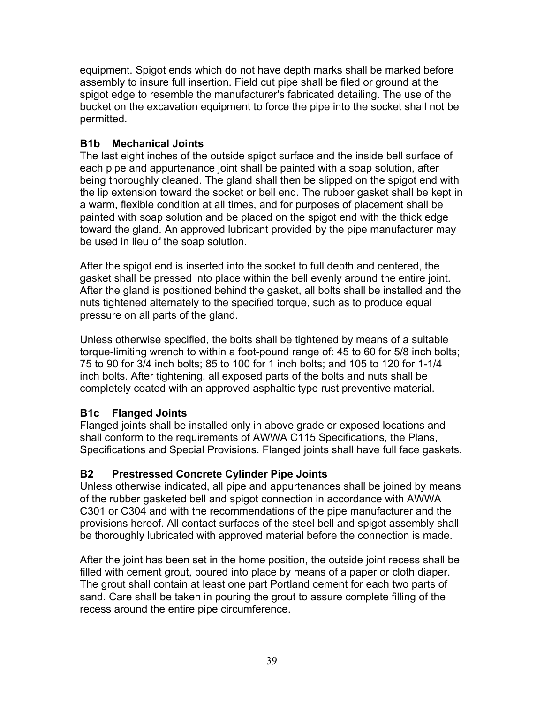<span id="page-38-0"></span>equipment. Spigot ends which do not have depth marks shall be marked before assembly to insure full insertion. Field cut pipe shall be filed or ground at the spigot edge to resemble the manufacturer's fabricated detailing. The use of the bucket on the excavation equipment to force the pipe into the socket shall not be permitted.

#### **B1b Mechanical Joints**

The last eight inches of the outside spigot surface and the inside bell surface of each pipe and appurtenance joint shall be painted with a soap solution, after being thoroughly cleaned. The gland shall then be slipped on the spigot end with the lip extension toward the socket or bell end. The rubber gasket shall be kept in a warm, flexible condition at all times, and for purposes of placement shall be painted with soap solution and be placed on the spigot end with the thick edge toward the gland. An approved lubricant provided by the pipe manufacturer may be used in lieu of the soap solution.

After the spigot end is inserted into the socket to full depth and centered, the gasket shall be pressed into place within the bell evenly around the entire joint. After the gland is positioned behind the gasket, all bolts shall be installed and the nuts tightened alternately to the specified torque, such as to produce equal pressure on all parts of the gland.

Unless otherwise specified, the bolts shall be tightened by means of a suitable torque-limiting wrench to within a foot-pound range of: 45 to 60 for 5/8 inch bolts; 75 to 90 for 3/4 inch bolts; 85 to 100 for 1 inch bolts; and 105 to 120 for 1-1/4 inch bolts. After tightening, all exposed parts of the bolts and nuts shall be completely coated with an approved asphaltic type rust preventive material.

# **B1c Flanged Joints**

Flanged joints shall be installed only in above grade or exposed locations and shall conform to the requirements of AWWA C115 Specifications, the Plans, Specifications and Special Provisions. Flanged joints shall have full face gaskets.

#### **B2 Prestressed Concrete Cylinder Pipe Joints**

Unless otherwise indicated, all pipe and appurtenances shall be joined by means of the rubber gasketed bell and spigot connection in accordance with AWWA C301 or C304 and with the recommendations of the pipe manufacturer and the provisions hereof. All contact surfaces of the steel bell and spigot assembly shall be thoroughly lubricated with approved material before the connection is made.

After the joint has been set in the home position, the outside joint recess shall be filled with cement grout, poured into place by means of a paper or cloth diaper. The grout shall contain at least one part Portland cement for each two parts of sand. Care shall be taken in pouring the grout to assure complete filling of the recess around the entire pipe circumference.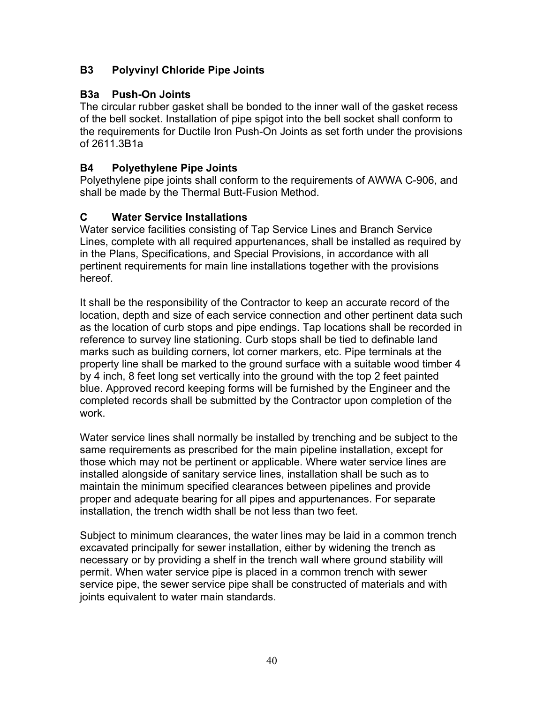#### <span id="page-39-0"></span>**B3 Polyvinyl Chloride Pipe Joints**

#### **B3a Push-On Joints**

The circular rubber gasket shall be bonded to the inner wall of the gasket recess of the bell socket. Installation of pipe spigot into the bell socket shall conform to the requirements for Ductile Iron Push-On Joints as set forth under the provisions of 2611.3B1a

#### **B4 Polyethylene Pipe Joints**

Polyethylene pipe joints shall conform to the requirements of AWWA C-906, and shall be made by the Thermal Butt-Fusion Method.

# **C Water Service Installations**

Water service facilities consisting of Tap Service Lines and Branch Service Lines, complete with all required appurtenances, shall be installed as required by in the Plans, Specifications, and Special Provisions, in accordance with all pertinent requirements for main line installations together with the provisions hereof.

It shall be the responsibility of the Contractor to keep an accurate record of the location, depth and size of each service connection and other pertinent data such as the location of curb stops and pipe endings. Tap locations shall be recorded in reference to survey line stationing. Curb stops shall be tied to definable land marks such as building corners, lot corner markers, etc. Pipe terminals at the property line shall be marked to the ground surface with a suitable wood timber 4 by 4 inch, 8 feet long set vertically into the ground with the top 2 feet painted blue. Approved record keeping forms will be furnished by the Engineer and the completed records shall be submitted by the Contractor upon completion of the work.

Water service lines shall normally be installed by trenching and be subject to the same requirements as prescribed for the main pipeline installation, except for those which may not be pertinent or applicable. Where water service lines are installed alongside of sanitary service lines, installation shall be such as to maintain the minimum specified clearances between pipelines and provide proper and adequate bearing for all pipes and appurtenances. For separate installation, the trench width shall be not less than two feet.

Subject to minimum clearances, the water lines may be laid in a common trench excavated principally for sewer installation, either by widening the trench as necessary or by providing a shelf in the trench wall where ground stability will permit. When water service pipe is placed in a common trench with sewer service pipe, the sewer service pipe shall be constructed of materials and with joints equivalent to water main standards.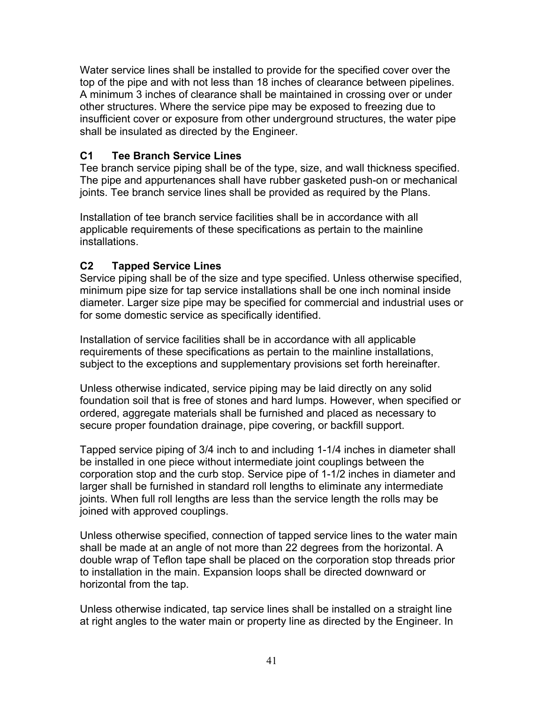<span id="page-40-0"></span>Water service lines shall be installed to provide for the specified cover over the top of the pipe and with not less than 18 inches of clearance between pipelines. A minimum 3 inches of clearance shall be maintained in crossing over or under other structures. Where the service pipe may be exposed to freezing due to insufficient cover or exposure from other underground structures, the water pipe shall be insulated as directed by the Engineer.

#### **C1 Tee Branch Service Lines**

Tee branch service piping shall be of the type, size, and wall thickness specified. The pipe and appurtenances shall have rubber gasketed push-on or mechanical joints. Tee branch service lines shall be provided as required by the Plans.

Installation of tee branch service facilities shall be in accordance with all applicable requirements of these specifications as pertain to the mainline installations.

# **C2 Tapped Service Lines**

Service piping shall be of the size and type specified. Unless otherwise specified, minimum pipe size for tap service installations shall be one inch nominal inside diameter. Larger size pipe may be specified for commercial and industrial uses or for some domestic service as specifically identified.

Installation of service facilities shall be in accordance with all applicable requirements of these specifications as pertain to the mainline installations, subject to the exceptions and supplementary provisions set forth hereinafter.

Unless otherwise indicated, service piping may be laid directly on any solid foundation soil that is free of stones and hard lumps. However, when specified or ordered, aggregate materials shall be furnished and placed as necessary to secure proper foundation drainage, pipe covering, or backfill support.

Tapped service piping of 3/4 inch to and including 1-1/4 inches in diameter shall be installed in one piece without intermediate joint couplings between the corporation stop and the curb stop. Service pipe of 1-1/2 inches in diameter and larger shall be furnished in standard roll lengths to eliminate any intermediate joints. When full roll lengths are less than the service length the rolls may be joined with approved couplings.

Unless otherwise specified, connection of tapped service lines to the water main shall be made at an angle of not more than 22 degrees from the horizontal. A double wrap of Teflon tape shall be placed on the corporation stop threads prior to installation in the main. Expansion loops shall be directed downward or horizontal from the tap.

Unless otherwise indicated, tap service lines shall be installed on a straight line at right angles to the water main or property line as directed by the Engineer. In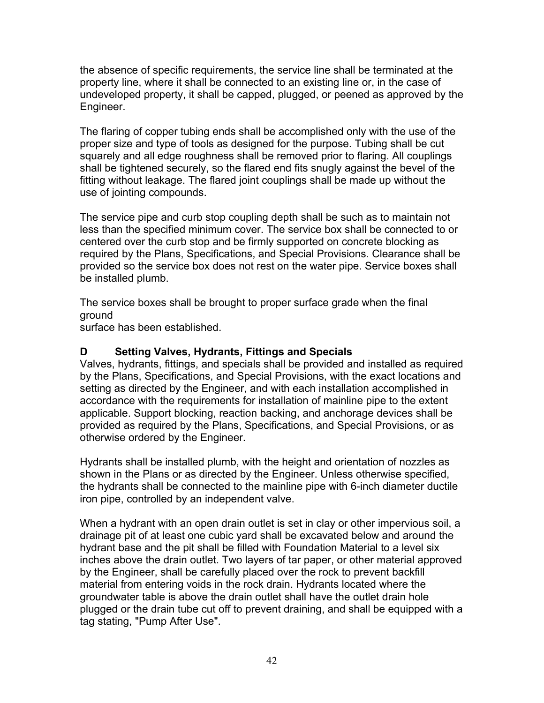<span id="page-41-0"></span>the absence of specific requirements, the service line shall be terminated at the property line, where it shall be connected to an existing line or, in the case of undeveloped property, it shall be capped, plugged, or peened as approved by the Engineer.

The flaring of copper tubing ends shall be accomplished only with the use of the proper size and type of tools as designed for the purpose. Tubing shall be cut squarely and all edge roughness shall be removed prior to flaring. All couplings shall be tightened securely, so the flared end fits snugly against the bevel of the fitting without leakage. The flared joint couplings shall be made up without the use of jointing compounds.

The service pipe and curb stop coupling depth shall be such as to maintain not less than the specified minimum cover. The service box shall be connected to or centered over the curb stop and be firmly supported on concrete blocking as required by the Plans, Specifications, and Special Provisions. Clearance shall be provided so the service box does not rest on the water pipe. Service boxes shall be installed plumb.

The service boxes shall be brought to proper surface grade when the final ground

surface has been established.

#### **D Setting Valves, Hydrants, Fittings and Specials**

Valves, hydrants, fittings, and specials shall be provided and installed as required by the Plans, Specifications, and Special Provisions, with the exact locations and setting as directed by the Engineer, and with each installation accomplished in accordance with the requirements for installation of mainline pipe to the extent applicable. Support blocking, reaction backing, and anchorage devices shall be provided as required by the Plans, Specifications, and Special Provisions, or as otherwise ordered by the Engineer.

Hydrants shall be installed plumb, with the height and orientation of nozzles as shown in the Plans or as directed by the Engineer. Unless otherwise specified, the hydrants shall be connected to the mainline pipe with 6-inch diameter ductile iron pipe, controlled by an independent valve.

When a hydrant with an open drain outlet is set in clay or other impervious soil, a drainage pit of at least one cubic yard shall be excavated below and around the hydrant base and the pit shall be filled with Foundation Material to a level six inches above the drain outlet. Two layers of tar paper, or other material approved by the Engineer, shall be carefully placed over the rock to prevent backfill material from entering voids in the rock drain. Hydrants located where the groundwater table is above the drain outlet shall have the outlet drain hole plugged or the drain tube cut off to prevent draining, and shall be equipped with a tag stating, "Pump After Use".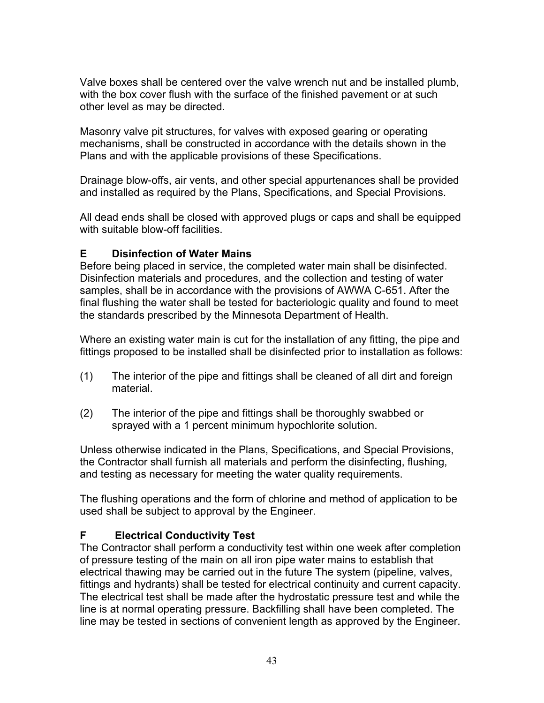<span id="page-42-0"></span>Valve boxes shall be centered over the valve wrench nut and be installed plumb, with the box cover flush with the surface of the finished pavement or at such other level as may be directed.

Masonry valve pit structures, for valves with exposed gearing or operating mechanisms, shall be constructed in accordance with the details shown in the Plans and with the applicable provisions of these Specifications.

Drainage blow-offs, air vents, and other special appurtenances shall be provided and installed as required by the Plans, Specifications, and Special Provisions.

All dead ends shall be closed with approved plugs or caps and shall be equipped with suitable blow-off facilities.

#### **E Disinfection of Water Mains**

Before being placed in service, the completed water main shall be disinfected. Disinfection materials and procedures, and the collection and testing of water samples, shall be in accordance with the provisions of AWWA C-651. After the final flushing the water shall be tested for bacteriologic quality and found to meet the standards prescribed by the Minnesota Department of Health.

Where an existing water main is cut for the installation of any fitting, the pipe and fittings proposed to be installed shall be disinfected prior to installation as follows:

- (1) The interior of the pipe and fittings shall be cleaned of all dirt and foreign material.
- (2) The interior of the pipe and fittings shall be thoroughly swabbed or sprayed with a 1 percent minimum hypochlorite solution.

Unless otherwise indicated in the Plans, Specifications, and Special Provisions, the Contractor shall furnish all materials and perform the disinfecting, flushing, and testing as necessary for meeting the water quality requirements.

The flushing operations and the form of chlorine and method of application to be used shall be subject to approval by the Engineer.

#### **F Electrical Conductivity Test**

The Contractor shall perform a conductivity test within one week after completion of pressure testing of the main on all iron pipe water mains to establish that electrical thawing may be carried out in the future The system (pipeline, valves, fittings and hydrants) shall be tested for electrical continuity and current capacity. The electrical test shall be made after the hydrostatic pressure test and while the line is at normal operating pressure. Backfilling shall have been completed. The line may be tested in sections of convenient length as approved by the Engineer.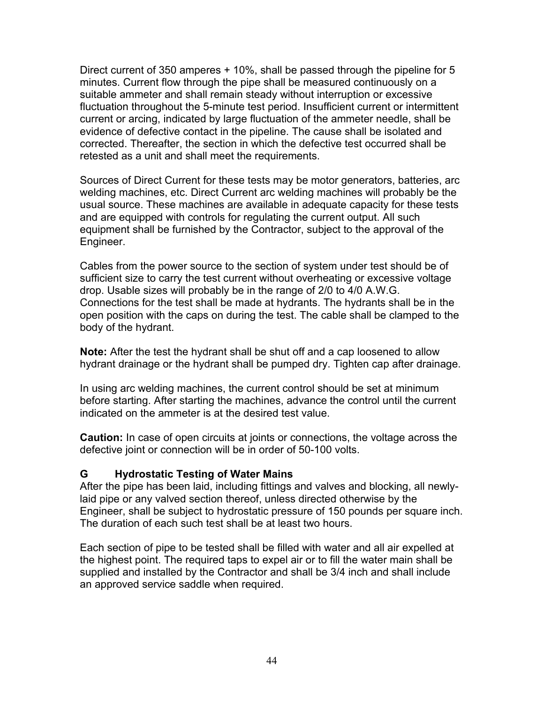<span id="page-43-0"></span>Direct current of 350 amperes + 10%, shall be passed through the pipeline for 5 minutes. Current flow through the pipe shall be measured continuously on a suitable ammeter and shall remain steady without interruption or excessive fluctuation throughout the 5-minute test period. Insufficient current or intermittent current or arcing, indicated by large fluctuation of the ammeter needle, shall be evidence of defective contact in the pipeline. The cause shall be isolated and corrected. Thereafter, the section in which the defective test occurred shall be retested as a unit and shall meet the requirements.

Sources of Direct Current for these tests may be motor generators, batteries, arc welding machines, etc. Direct Current arc welding machines will probably be the usual source. These machines are available in adequate capacity for these tests and are equipped with controls for regulating the current output. All such equipment shall be furnished by the Contractor, subject to the approval of the Engineer.

Cables from the power source to the section of system under test should be of sufficient size to carry the test current without overheating or excessive voltage drop. Usable sizes will probably be in the range of 2/0 to 4/0 A.W.G. Connections for the test shall be made at hydrants. The hydrants shall be in the open position with the caps on during the test. The cable shall be clamped to the body of the hydrant.

**Note:** After the test the hydrant shall be shut off and a cap loosened to allow hydrant drainage or the hydrant shall be pumped dry. Tighten cap after drainage.

In using arc welding machines, the current control should be set at minimum before starting. After starting the machines, advance the control until the current indicated on the ammeter is at the desired test value.

**Caution:** In case of open circuits at joints or connections, the voltage across the defective joint or connection will be in order of 50-100 volts.

#### **G Hydrostatic Testing of Water Mains**

After the pipe has been laid, including fittings and valves and blocking, all newlylaid pipe or any valved section thereof, unless directed otherwise by the Engineer, shall be subject to hydrostatic pressure of 150 pounds per square inch. The duration of each such test shall be at least two hours.

Each section of pipe to be tested shall be filled with water and all air expelled at the highest point. The required taps to expel air or to fill the water main shall be supplied and installed by the Contractor and shall be 3/4 inch and shall include an approved service saddle when required.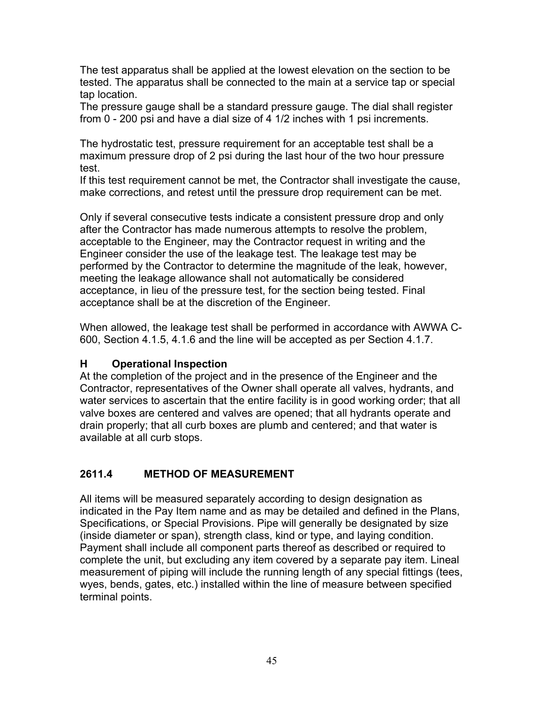<span id="page-44-0"></span>The test apparatus shall be applied at the lowest elevation on the section to be tested. The apparatus shall be connected to the main at a service tap or special tap location.

The pressure gauge shall be a standard pressure gauge. The dial shall register from 0 - 200 psi and have a dial size of 4 1/2 inches with 1 psi increments.

The hydrostatic test, pressure requirement for an acceptable test shall be a maximum pressure drop of 2 psi during the last hour of the two hour pressure test.

If this test requirement cannot be met, the Contractor shall investigate the cause, make corrections, and retest until the pressure drop requirement can be met.

Only if several consecutive tests indicate a consistent pressure drop and only after the Contractor has made numerous attempts to resolve the problem, acceptable to the Engineer, may the Contractor request in writing and the Engineer consider the use of the leakage test. The leakage test may be performed by the Contractor to determine the magnitude of the leak, however, meeting the leakage allowance shall not automatically be considered acceptance, in lieu of the pressure test, for the section being tested. Final acceptance shall be at the discretion of the Engineer.

When allowed, the leakage test shall be performed in accordance with AWWA C-600, Section 4.1.5, 4.1.6 and the line will be accepted as per Section 4.1.7.

# **H Operational Inspection**

At the completion of the project and in the presence of the Engineer and the Contractor, representatives of the Owner shall operate all valves, hydrants, and water services to ascertain that the entire facility is in good working order; that all valve boxes are centered and valves are opened; that all hydrants operate and drain properly; that all curb boxes are plumb and centered; and that water is available at all curb stops.

# **2611.4 METHOD OF MEASUREMENT**

All items will be measured separately according to design designation as indicated in the Pay Item name and as may be detailed and defined in the Plans, Specifications, or Special Provisions. Pipe will generally be designated by size (inside diameter or span), strength class, kind or type, and laying condition. Payment shall include all component parts thereof as described or required to complete the unit, but excluding any item covered by a separate pay item. Lineal measurement of piping will include the running length of any special fittings (tees, wyes, bends, gates, etc.) installed within the line of measure between specified terminal points.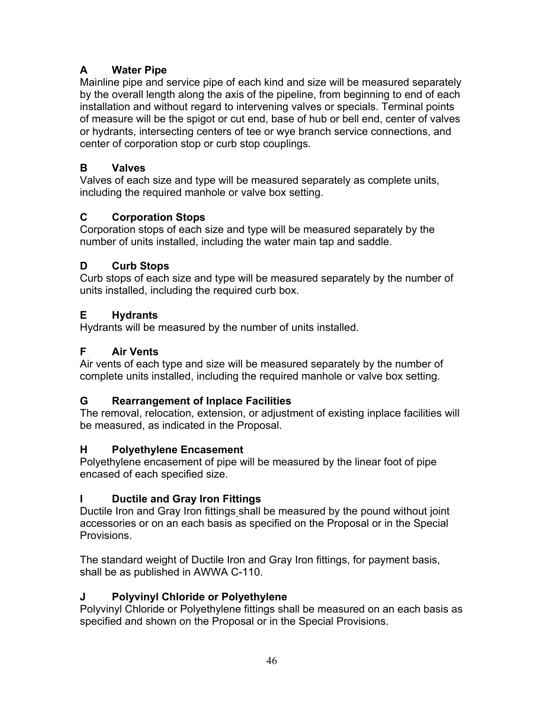# <span id="page-45-0"></span>**A Water Pipe**

Mainline pipe and service pipe of each kind and size will be measured separately by the overall length along the axis of the pipeline, from beginning to end of each installation and without regard to intervening valves or specials. Terminal points of measure will be the spigot or cut end, base of hub or bell end, center of valves or hydrants, intersecting centers of tee or wye branch service connections, and center of corporation stop or curb stop couplings.

# **B Valves**

Valves of each size and type will be measured separately as complete units, including the required manhole or valve box setting.

# **C Corporation Stops**

Corporation stops of each size and type will be measured separately by the number of units installed, including the water main tap and saddle.

# **D Curb Stops**

Curb stops of each size and type will be measured separately by the number of units installed, including the required curb box.

# **E Hydrants**

Hydrants will be measured by the number of units installed.

# **F Air Vents**

Air vents of each type and size will be measured separately by the number of complete units installed, including the required manhole or valve box setting.

# **G Rearrangement of Inplace Facilities**

The removal, relocation, extension, or adjustment of existing inplace facilities will be measured, as indicated in the Proposal.

# **H Polyethylene Encasement**

Polyethylene encasement of pipe will be measured by the linear foot of pipe encased of each specified size.

# **I Ductile and Gray Iron Fittings**

Ductile Iron and Gray Iron fittings shall be measured by the pound without joint accessories or on an each basis as specified on the Proposal or in the Special Provisions.

The standard weight of Ductile Iron and Gray Iron fittings, for payment basis, shall be as published in AWWA C-110.

# **J Polyvinyl Chloride or Polyethylene**

Polyvinyl Chloride or Polyethylene fittings shall be measured on an each basis as specified and shown on the Proposal or in the Special Provisions.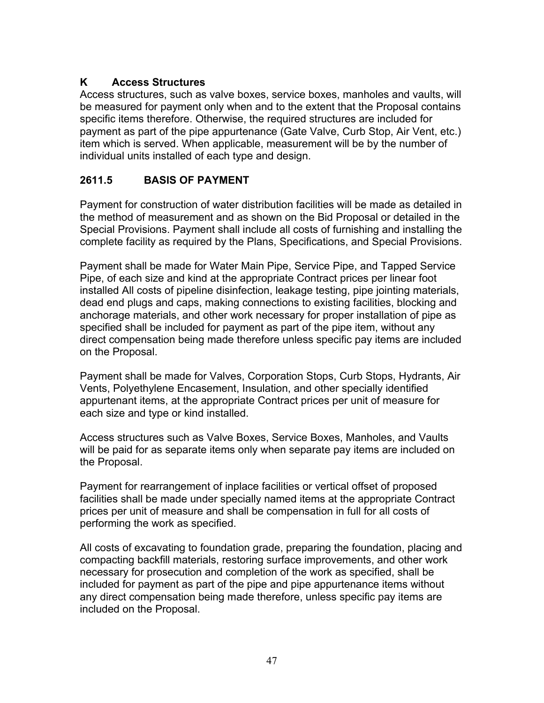# <span id="page-46-0"></span>**K Access Structures**

Access structures, such as valve boxes, service boxes, manholes and vaults, will be measured for payment only when and to the extent that the Proposal contains specific items therefore. Otherwise, the required structures are included for payment as part of the pipe appurtenance (Gate Valve, Curb Stop, Air Vent, etc.) item which is served. When applicable, measurement will be by the number of individual units installed of each type and design.

# **2611.5 BASIS OF PAYMENT**

Payment for construction of water distribution facilities will be made as detailed in the method of measurement and as shown on the Bid Proposal or detailed in the Special Provisions. Payment shall include all costs of furnishing and installing the complete facility as required by the Plans, Specifications, and Special Provisions.

Payment shall be made for Water Main Pipe, Service Pipe, and Tapped Service Pipe, of each size and kind at the appropriate Contract prices per linear foot installed All costs of pipeline disinfection, leakage testing, pipe jointing materials, dead end plugs and caps, making connections to existing facilities, blocking and anchorage materials, and other work necessary for proper installation of pipe as specified shall be included for payment as part of the pipe item, without any direct compensation being made therefore unless specific pay items are included on the Proposal.

Payment shall be made for Valves, Corporation Stops, Curb Stops, Hydrants, Air Vents, Polyethylene Encasement, Insulation, and other specially identified appurtenant items, at the appropriate Contract prices per unit of measure for each size and type or kind installed.

Access structures such as Valve Boxes, Service Boxes, Manholes, and Vaults will be paid for as separate items only when separate pay items are included on the Proposal.

Payment for rearrangement of inplace facilities or vertical offset of proposed facilities shall be made under specially named items at the appropriate Contract prices per unit of measure and shall be compensation in full for all costs of performing the work as specified.

All costs of excavating to foundation grade, preparing the foundation, placing and compacting backfill materials, restoring surface improvements, and other work necessary for prosecution and completion of the work as specified, shall be included for payment as part of the pipe and pipe appurtenance items without any direct compensation being made therefore, unless specific pay items are included on the Proposal.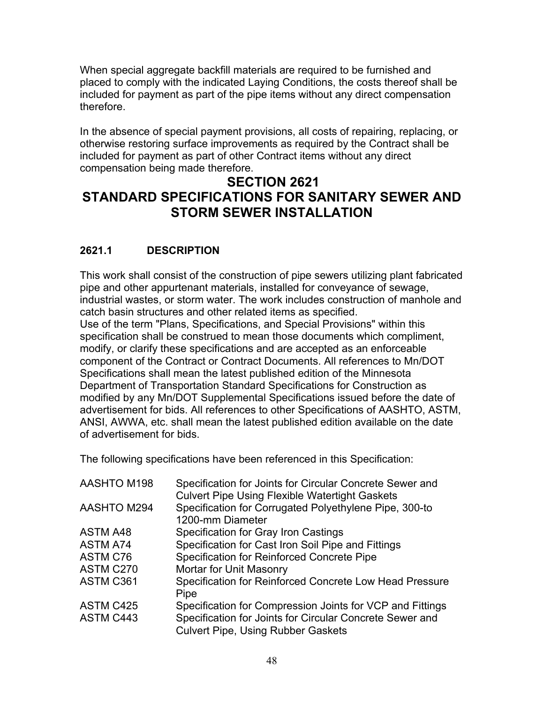<span id="page-47-0"></span>When special aggregate backfill materials are required to be furnished and placed to comply with the indicated Laying Conditions, the costs thereof shall be included for payment as part of the pipe items without any direct compensation therefore.

In the absence of special payment provisions, all costs of repairing, replacing, or otherwise restoring surface improvements as required by the Contract shall be included for payment as part of other Contract items without any direct compensation being made therefore.

# **SECTION 2621 STANDARD SPECIFICATIONS FOR SANITARY SEWER AND STORM SEWER INSTALLATION**

# **2621.1 DESCRIPTION**

This work shall consist of the construction of pipe sewers utilizing plant fabricated pipe and other appurtenant materials, installed for conveyance of sewage, industrial wastes, or storm water. The work includes construction of manhole and catch basin structures and other related items as specified.

Use of the term "Plans, Specifications, and Special Provisions" within this specification shall be construed to mean those documents which compliment, modify, or clarify these specifications and are accepted as an enforceable component of the Contract or Contract Documents. All references to Mn/DOT Specifications shall mean the latest published edition of the Minnesota Department of Transportation Standard Specifications for Construction as modified by any Mn/DOT Supplemental Specifications issued before the date of advertisement for bids. All references to other Specifications of AASHTO, ASTM, ANSI, AWWA, etc. shall mean the latest published edition available on the date of advertisement for bids.

The following specifications have been referenced in this Specification:

| <b>AASHTO M198</b> | Specification for Joints for Circular Concrete Sewer and<br><b>Culvert Pipe Using Flexible Watertight Gaskets</b> |
|--------------------|-------------------------------------------------------------------------------------------------------------------|
| AASHTO M294        | Specification for Corrugated Polyethylene Pipe, 300-to<br>1200-mm Diameter                                        |
| <b>ASTM A48</b>    | Specification for Gray Iron Castings                                                                              |
| <b>ASTM A74</b>    | Specification for Cast Iron Soil Pipe and Fittings                                                                |
| <b>ASTM C76</b>    | Specification for Reinforced Concrete Pipe                                                                        |
| ASTM C270          | Mortar for Unit Masonry                                                                                           |
| ASTM C361          | Specification for Reinforced Concrete Low Head Pressure<br>Pipe                                                   |
| ASTM C425          | Specification for Compression Joints for VCP and Fittings                                                         |
| <b>ASTM C443</b>   | Specification for Joints for Circular Concrete Sewer and<br><b>Culvert Pipe, Using Rubber Gaskets</b>             |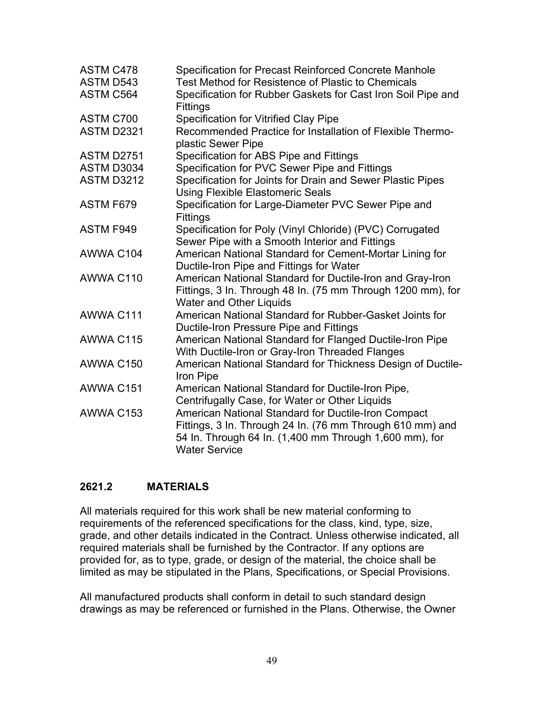<span id="page-48-0"></span>

| <b>ASTM C478</b>  | Specification for Precast Reinforced Concrete Manhole                                                                                                                                              |
|-------------------|----------------------------------------------------------------------------------------------------------------------------------------------------------------------------------------------------|
| ASTM D543         | Test Method for Resistence of Plastic to Chemicals                                                                                                                                                 |
| <b>ASTM C564</b>  | Specification for Rubber Gaskets for Cast Iron Soil Pipe and<br>Fittings                                                                                                                           |
| ASTM C700         | <b>Specification for Vitrified Clay Pipe</b>                                                                                                                                                       |
| <b>ASTM D2321</b> | Recommended Practice for Installation of Flexible Thermo-<br>plastic Sewer Pipe                                                                                                                    |
| <b>ASTM D2751</b> | Specification for ABS Pipe and Fittings                                                                                                                                                            |
| ASTM D3034        | Specification for PVC Sewer Pipe and Fittings                                                                                                                                                      |
| <b>ASTM D3212</b> | Specification for Joints for Drain and Sewer Plastic Pipes<br><b>Using Flexible Elastomeric Seals</b>                                                                                              |
| ASTM F679         | Specification for Large-Diameter PVC Sewer Pipe and<br>Fittings                                                                                                                                    |
| <b>ASTM F949</b>  | Specification for Poly (Vinyl Chloride) (PVC) Corrugated<br>Sewer Pipe with a Smooth Interior and Fittings                                                                                         |
| AWWA C104         | American National Standard for Cement-Mortar Lining for<br>Ductile-Iron Pipe and Fittings for Water                                                                                                |
| AWWA C110         | American National Standard for Ductile-Iron and Gray-Iron<br>Fittings, 3 In. Through 48 In. (75 mm Through 1200 mm), for<br><b>Water and Other Liquids</b>                                         |
| AWWA C111         | American National Standard for Rubber-Gasket Joints for<br>Ductile-Iron Pressure Pipe and Fittings                                                                                                 |
| AWWA C115         | American National Standard for Flanged Ductile-Iron Pipe<br>With Ductile-Iron or Gray-Iron Threaded Flanges                                                                                        |
| AWWA C150         | American National Standard for Thickness Design of Ductile-<br>Iron Pipe                                                                                                                           |
| AWWA C151         | American National Standard for Ductile-Iron Pipe,<br>Centrifugally Case, for Water or Other Liquids                                                                                                |
| AWWA C153         | American National Standard for Ductile-Iron Compact<br>Fittings, 3 In. Through 24 In. (76 mm Through 610 mm) and<br>54 In. Through 64 In. (1,400 mm Through 1,600 mm), for<br><b>Water Service</b> |

#### **2621.2 MATERIALS**

All materials required for this work shall be new material conforming to requirements of the referenced specifications for the class, kind, type, size, grade, and other details indicated in the Contract. Unless otherwise indicated, all required materials shall be furnished by the Contractor. If any options are provided for, as to type, grade, or design of the material, the choice shall be limited as may be stipulated in the Plans, Specifications, or Special Provisions.

All manufactured products shall conform in detail to such standard design drawings as may be referenced or furnished in the Plans. Otherwise, the Owner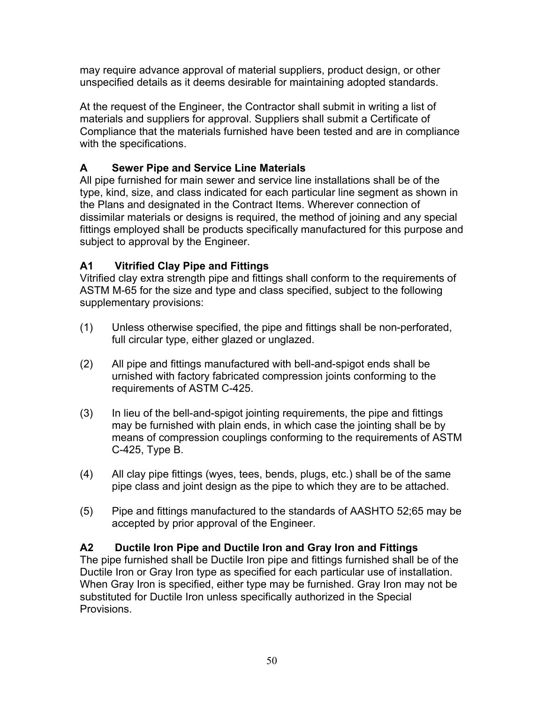<span id="page-49-0"></span>may require advance approval of material suppliers, product design, or other unspecified details as it deems desirable for maintaining adopted standards.

At the request of the Engineer, the Contractor shall submit in writing a list of materials and suppliers for approval. Suppliers shall submit a Certificate of Compliance that the materials furnished have been tested and are in compliance with the specifications.

# **A Sewer Pipe and Service Line Materials**

All pipe furnished for main sewer and service line installations shall be of the type, kind, size, and class indicated for each particular line segment as shown in the Plans and designated in the Contract Items. Wherever connection of dissimilar materials or designs is required, the method of joining and any special fittings employed shall be products specifically manufactured for this purpose and subject to approval by the Engineer.

# **A1 Vitrified Clay Pipe and Fittings**

Vitrified clay extra strength pipe and fittings shall conform to the requirements of ASTM M-65 for the size and type and class specified, subject to the following supplementary provisions:

- (1) Unless otherwise specified, the pipe and fittings shall be non-perforated, full circular type, either glazed or unglazed.
- (2) All pipe and fittings manufactured with bell-and-spigot ends shall be urnished with factory fabricated compression joints conforming to the requirements of ASTM C-425.
- (3) In lieu of the bell-and-spigot jointing requirements, the pipe and fittings may be furnished with plain ends, in which case the jointing shall be by means of compression couplings conforming to the requirements of ASTM C-425, Type B.
- (4) All clay pipe fittings (wyes, tees, bends, plugs, etc.) shall be of the same pipe class and joint design as the pipe to which they are to be attached.
- (5) Pipe and fittings manufactured to the standards of AASHTO 52;65 may be accepted by prior approval of the Engineer.

# **A2 Ductile Iron Pipe and Ductile Iron and Gray Iron and Fittings**

The pipe furnished shall be Ductile Iron pipe and fittings furnished shall be of the Ductile Iron or Gray Iron type as specified for each particular use of installation. When Gray Iron is specified, either type may be furnished. Gray Iron may not be substituted for Ductile Iron unless specifically authorized in the Special Provisions.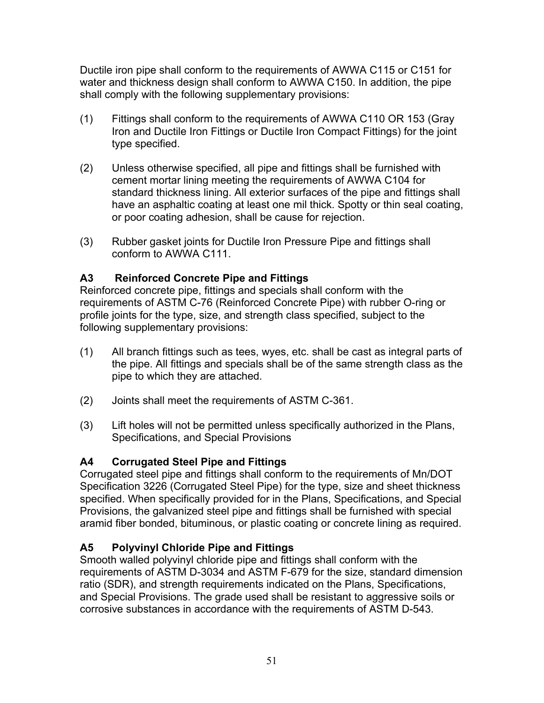<span id="page-50-0"></span>Ductile iron pipe shall conform to the requirements of AWWA C115 or C151 for water and thickness design shall conform to AWWA C150. In addition, the pipe shall comply with the following supplementary provisions:

- (1) Fittings shall conform to the requirements of AWWA C110 OR 153 (Gray Iron and Ductile Iron Fittings or Ductile Iron Compact Fittings) for the joint type specified.
- (2) Unless otherwise specified, all pipe and fittings shall be furnished with cement mortar lining meeting the requirements of AWWA C104 for standard thickness lining. All exterior surfaces of the pipe and fittings shall have an asphaltic coating at least one mil thick. Spotty or thin seal coating, or poor coating adhesion, shall be cause for rejection.
- (3) Rubber gasket joints for Ductile Iron Pressure Pipe and fittings shall conform to AWWA C111.

#### **A3 Reinforced Concrete Pipe and Fittings**

Reinforced concrete pipe, fittings and specials shall conform with the requirements of ASTM C-76 (Reinforced Concrete Pipe) with rubber O-ring or profile joints for the type, size, and strength class specified, subject to the following supplementary provisions:

- (1) All branch fittings such as tees, wyes, etc. shall be cast as integral parts of the pipe. All fittings and specials shall be of the same strength class as the pipe to which they are attached.
- (2) Joints shall meet the requirements of ASTM C-361.
- (3) Lift holes will not be permitted unless specifically authorized in the Plans, Specifications, and Special Provisions

# **A4 Corrugated Steel Pipe and Fittings**

Corrugated steel pipe and fittings shall conform to the requirements of Mn/DOT Specification 3226 (Corrugated Steel Pipe) for the type, size and sheet thickness specified. When specifically provided for in the Plans, Specifications, and Special Provisions, the galvanized steel pipe and fittings shall be furnished with special aramid fiber bonded, bituminous, or plastic coating or concrete lining as required.

# **A5 Polyvinyl Chloride Pipe and Fittings**

Smooth walled polyvinyl chloride pipe and fittings shall conform with the requirements of ASTM D-3034 and ASTM F-679 for the size, standard dimension ratio (SDR), and strength requirements indicated on the Plans, Specifications, and Special Provisions. The grade used shall be resistant to aggressive soils or corrosive substances in accordance with the requirements of ASTM D-543.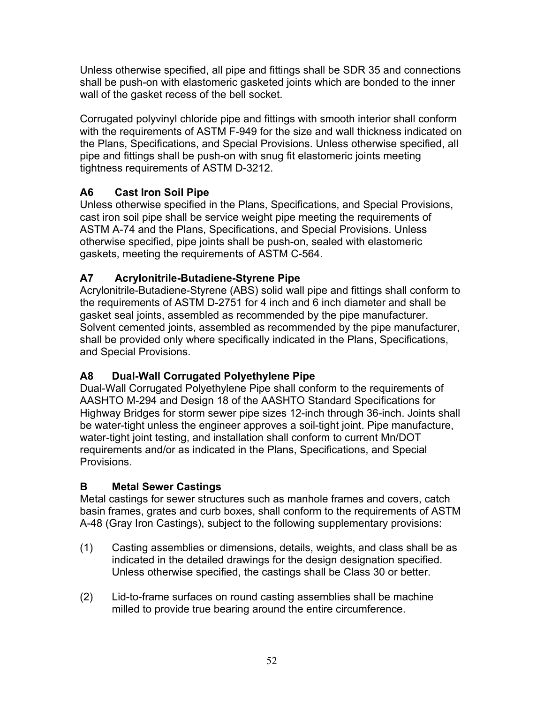<span id="page-51-0"></span>Unless otherwise specified, all pipe and fittings shall be SDR 35 and connections shall be push-on with elastomeric gasketed joints which are bonded to the inner wall of the gasket recess of the bell socket.

Corrugated polyvinyl chloride pipe and fittings with smooth interior shall conform with the requirements of ASTM F-949 for the size and wall thickness indicated on the Plans, Specifications, and Special Provisions. Unless otherwise specified, all pipe and fittings shall be push-on with snug fit elastomeric joints meeting tightness requirements of ASTM D-3212.

# **A6 Cast Iron Soil Pipe**

Unless otherwise specified in the Plans, Specifications, and Special Provisions, cast iron soil pipe shall be service weight pipe meeting the requirements of ASTM A-74 and the Plans, Specifications, and Special Provisions. Unless otherwise specified, pipe joints shall be push-on, sealed with elastomeric gaskets, meeting the requirements of ASTM C-564.

# **A7 Acrylonitrile-Butadiene-Styrene Pipe**

Acrylonitrile-Butadiene-Styrene (ABS) solid wall pipe and fittings shall conform to the requirements of ASTM D-2751 for 4 inch and 6 inch diameter and shall be gasket seal joints, assembled as recommended by the pipe manufacturer. Solvent cemented joints, assembled as recommended by the pipe manufacturer, shall be provided only where specifically indicated in the Plans, Specifications, and Special Provisions.

# **A8 Dual-Wall Corrugated Polyethylene Pipe**

Dual-Wall Corrugated Polyethylene Pipe shall conform to the requirements of AASHTO M-294 and Design 18 of the AASHTO Standard Specifications for Highway Bridges for storm sewer pipe sizes 12-inch through 36-inch. Joints shall be water-tight unless the engineer approves a soil-tight joint. Pipe manufacture, water-tight joint testing, and installation shall conform to current Mn/DOT requirements and/or as indicated in the Plans, Specifications, and Special Provisions.

# **B Metal Sewer Castings**

Metal castings for sewer structures such as manhole frames and covers, catch basin frames, grates and curb boxes, shall conform to the requirements of ASTM A-48 (Gray Iron Castings), subject to the following supplementary provisions:

- (1) Casting assemblies or dimensions, details, weights, and class shall be as indicated in the detailed drawings for the design designation specified. Unless otherwise specified, the castings shall be Class 30 or better.
- (2) Lid-to-frame surfaces on round casting assemblies shall be machine milled to provide true bearing around the entire circumference.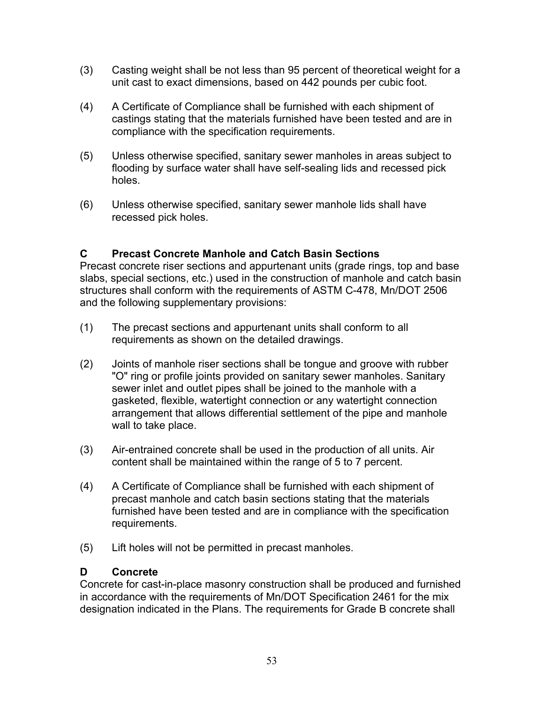- <span id="page-52-0"></span>(3) Casting weight shall be not less than 95 percent of theoretical weight for a unit cast to exact dimensions, based on 442 pounds per cubic foot.
- (4) A Certificate of Compliance shall be furnished with each shipment of castings stating that the materials furnished have been tested and are in compliance with the specification requirements.
- (5) Unless otherwise specified, sanitary sewer manholes in areas subject to flooding by surface water shall have self-sealing lids and recessed pick holes.
- (6) Unless otherwise specified, sanitary sewer manhole lids shall have recessed pick holes.

# **C Precast Concrete Manhole and Catch Basin Sections**

Precast concrete riser sections and appurtenant units (grade rings, top and base slabs, special sections, etc.) used in the construction of manhole and catch basin structures shall conform with the requirements of ASTM C-478, Mn/DOT 2506 and the following supplementary provisions:

- (1) The precast sections and appurtenant units shall conform to all requirements as shown on the detailed drawings.
- (2) Joints of manhole riser sections shall be tongue and groove with rubber "O" ring or profile joints provided on sanitary sewer manholes. Sanitary sewer inlet and outlet pipes shall be joined to the manhole with a gasketed, flexible, watertight connection or any watertight connection arrangement that allows differential settlement of the pipe and manhole wall to take place.
- (3) Air-entrained concrete shall be used in the production of all units. Air content shall be maintained within the range of 5 to 7 percent.
- (4) A Certificate of Compliance shall be furnished with each shipment of precast manhole and catch basin sections stating that the materials furnished have been tested and are in compliance with the specification requirements.
- (5) Lift holes will not be permitted in precast manholes.

#### **D Concrete**

Concrete for cast-in-place masonry construction shall be produced and furnished in accordance with the requirements of Mn/DOT Specification 2461 for the mix designation indicated in the Plans. The requirements for Grade B concrete shall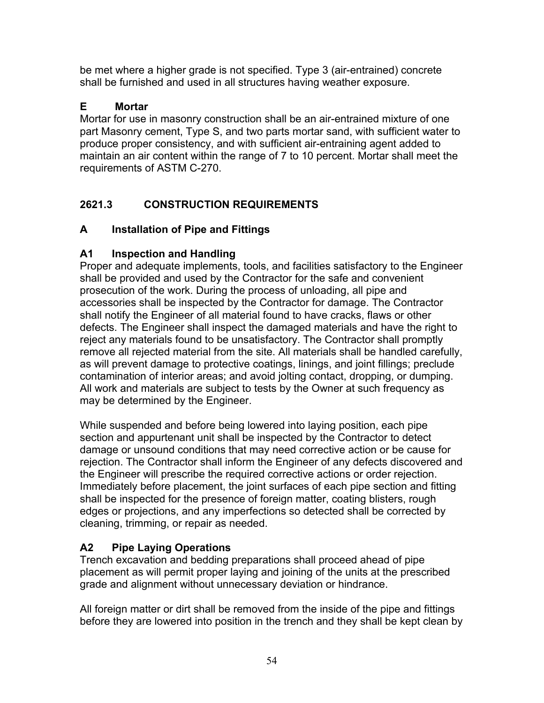<span id="page-53-0"></span>be met where a higher grade is not specified. Type 3 (air-entrained) concrete shall be furnished and used in all structures having weather exposure.

# **E Mortar**

Mortar for use in masonry construction shall be an air-entrained mixture of one part Masonry cement, Type S, and two parts mortar sand, with sufficient water to produce proper consistency, and with sufficient air-entraining agent added to maintain an air content within the range of 7 to 10 percent. Mortar shall meet the requirements of ASTM C-270.

# **2621.3 CONSTRUCTION REQUIREMENTS**

# **A Installation of Pipe and Fittings**

# **A1 Inspection and Handling**

Proper and adequate implements, tools, and facilities satisfactory to the Engineer shall be provided and used by the Contractor for the safe and convenient prosecution of the work. During the process of unloading, all pipe and accessories shall be inspected by the Contractor for damage. The Contractor shall notify the Engineer of all material found to have cracks, flaws or other defects. The Engineer shall inspect the damaged materials and have the right to reject any materials found to be unsatisfactory. The Contractor shall promptly remove all rejected material from the site. All materials shall be handled carefully, as will prevent damage to protective coatings, linings, and joint fillings; preclude contamination of interior areas; and avoid jolting contact, dropping, or dumping. All work and materials are subject to tests by the Owner at such frequency as may be determined by the Engineer.

While suspended and before being lowered into laying position, each pipe section and appurtenant unit shall be inspected by the Contractor to detect damage or unsound conditions that may need corrective action or be cause for rejection. The Contractor shall inform the Engineer of any defects discovered and the Engineer will prescribe the required corrective actions or order rejection. Immediately before placement, the joint surfaces of each pipe section and fitting shall be inspected for the presence of foreign matter, coating blisters, rough edges or projections, and any imperfections so detected shall be corrected by cleaning, trimming, or repair as needed.

# **A2 Pipe Laying Operations**

Trench excavation and bedding preparations shall proceed ahead of pipe placement as will permit proper laying and joining of the units at the prescribed grade and alignment without unnecessary deviation or hindrance.

All foreign matter or dirt shall be removed from the inside of the pipe and fittings before they are lowered into position in the trench and they shall be kept clean by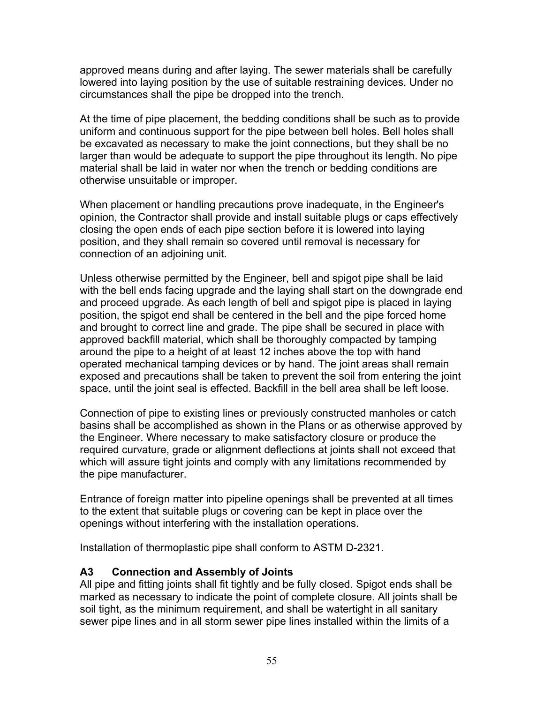<span id="page-54-0"></span>approved means during and after laying. The sewer materials shall be carefully lowered into laying position by the use of suitable restraining devices. Under no circumstances shall the pipe be dropped into the trench.

At the time of pipe placement, the bedding conditions shall be such as to provide uniform and continuous support for the pipe between bell holes. Bell holes shall be excavated as necessary to make the joint connections, but they shall be no larger than would be adequate to support the pipe throughout its length. No pipe material shall be laid in water nor when the trench or bedding conditions are otherwise unsuitable or improper.

When placement or handling precautions prove inadequate, in the Engineer's opinion, the Contractor shall provide and install suitable plugs or caps effectively closing the open ends of each pipe section before it is lowered into laying position, and they shall remain so covered until removal is necessary for connection of an adjoining unit.

Unless otherwise permitted by the Engineer, bell and spigot pipe shall be laid with the bell ends facing upgrade and the laying shall start on the downgrade end and proceed upgrade. As each length of bell and spigot pipe is placed in laying position, the spigot end shall be centered in the bell and the pipe forced home and brought to correct line and grade. The pipe shall be secured in place with approved backfill material, which shall be thoroughly compacted by tamping around the pipe to a height of at least 12 inches above the top with hand operated mechanical tamping devices or by hand. The joint areas shall remain exposed and precautions shall be taken to prevent the soil from entering the joint space, until the joint seal is effected. Backfill in the bell area shall be left loose.

Connection of pipe to existing lines or previously constructed manholes or catch basins shall be accomplished as shown in the Plans or as otherwise approved by the Engineer. Where necessary to make satisfactory closure or produce the required curvature, grade or alignment deflections at joints shall not exceed that which will assure tight joints and comply with any limitations recommended by the pipe manufacturer.

Entrance of foreign matter into pipeline openings shall be prevented at all times to the extent that suitable plugs or covering can be kept in place over the openings without interfering with the installation operations.

Installation of thermoplastic pipe shall conform to ASTM D-2321.

#### **A3 Connection and Assembly of Joints**

All pipe and fitting joints shall fit tightly and be fully closed. Spigot ends shall be marked as necessary to indicate the point of complete closure. All joints shall be soil tight, as the minimum requirement, and shall be watertight in all sanitary sewer pipe lines and in all storm sewer pipe lines installed within the limits of a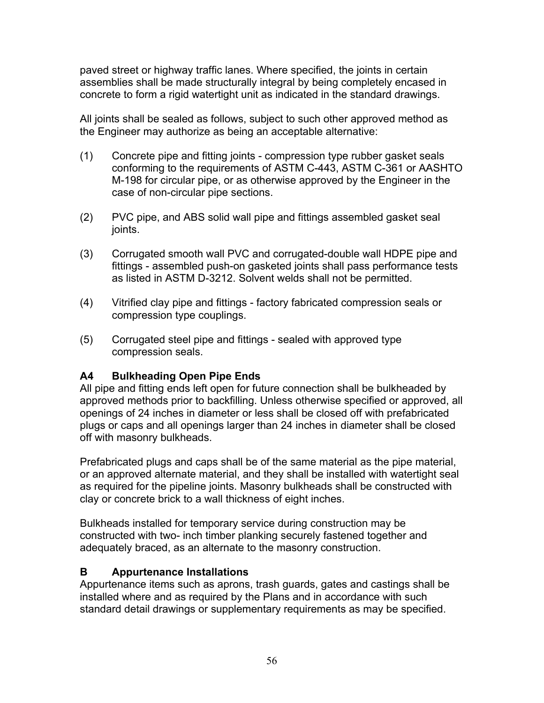<span id="page-55-0"></span>paved street or highway traffic lanes. Where specified, the joints in certain assemblies shall be made structurally integral by being completely encased in concrete to form a rigid watertight unit as indicated in the standard drawings.

All joints shall be sealed as follows, subject to such other approved method as the Engineer may authorize as being an acceptable alternative:

- (1) Concrete pipe and fitting joints compression type rubber gasket seals conforming to the requirements of ASTM C-443, ASTM C-361 or AASHTO M-198 for circular pipe, or as otherwise approved by the Engineer in the case of non-circular pipe sections.
- (2) PVC pipe, and ABS solid wall pipe and fittings assembled gasket seal joints.
- (3) Corrugated smooth wall PVC and corrugated-double wall HDPE pipe and fittings - assembled push-on gasketed joints shall pass performance tests as listed in ASTM D-3212. Solvent welds shall not be permitted.
- (4) Vitrified clay pipe and fittings factory fabricated compression seals or compression type couplings.
- (5) Corrugated steel pipe and fittings sealed with approved type compression seals.

# **A4 Bulkheading Open Pipe Ends**

All pipe and fitting ends left open for future connection shall be bulkheaded by approved methods prior to backfilling. Unless otherwise specified or approved, all openings of 24 inches in diameter or less shall be closed off with prefabricated plugs or caps and all openings larger than 24 inches in diameter shall be closed off with masonry bulkheads.

Prefabricated plugs and caps shall be of the same material as the pipe material, or an approved alternate material, and they shall be installed with watertight seal as required for the pipeline joints. Masonry bulkheads shall be constructed with clay or concrete brick to a wall thickness of eight inches.

Bulkheads installed for temporary service during construction may be constructed with two- inch timber planking securely fastened together and adequately braced, as an alternate to the masonry construction.

# **B Appurtenance Installations**

Appurtenance items such as aprons, trash guards, gates and castings shall be installed where and as required by the Plans and in accordance with such standard detail drawings or supplementary requirements as may be specified.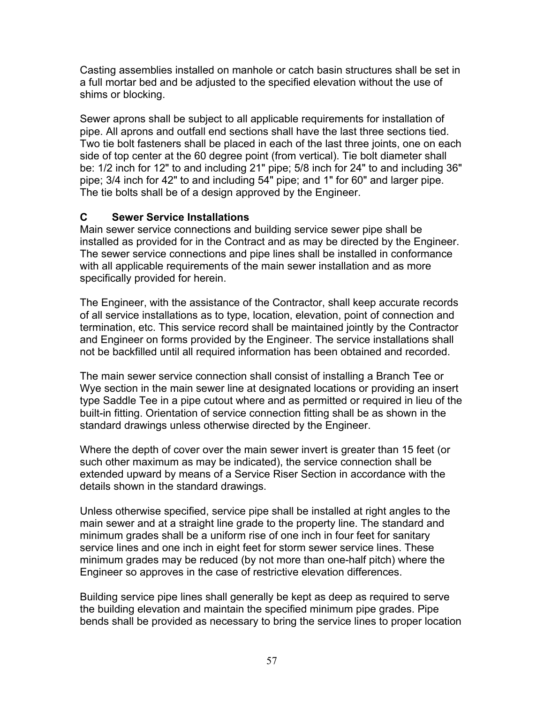<span id="page-56-0"></span>Casting assemblies installed on manhole or catch basin structures shall be set in a full mortar bed and be adjusted to the specified elevation without the use of shims or blocking.

Sewer aprons shall be subject to all applicable requirements for installation of pipe. All aprons and outfall end sections shall have the last three sections tied. Two tie bolt fasteners shall be placed in each of the last three joints, one on each side of top center at the 60 degree point (from vertical). Tie bolt diameter shall be: 1/2 inch for 12" to and including 21" pipe; 5/8 inch for 24" to and including 36" pipe; 3/4 inch for 42" to and including 54" pipe; and 1" for 60" and larger pipe. The tie bolts shall be of a design approved by the Engineer.

# **C Sewer Service Installations**

Main sewer service connections and building service sewer pipe shall be installed as provided for in the Contract and as may be directed by the Engineer. The sewer service connections and pipe lines shall be installed in conformance with all applicable requirements of the main sewer installation and as more specifically provided for herein.

The Engineer, with the assistance of the Contractor, shall keep accurate records of all service installations as to type, location, elevation, point of connection and termination, etc. This service record shall be maintained jointly by the Contractor and Engineer on forms provided by the Engineer. The service installations shall not be backfilled until all required information has been obtained and recorded.

The main sewer service connection shall consist of installing a Branch Tee or Wye section in the main sewer line at designated locations or providing an insert type Saddle Tee in a pipe cutout where and as permitted or required in lieu of the built-in fitting. Orientation of service connection fitting shall be as shown in the standard drawings unless otherwise directed by the Engineer.

Where the depth of cover over the main sewer invert is greater than 15 feet (or such other maximum as may be indicated), the service connection shall be extended upward by means of a Service Riser Section in accordance with the details shown in the standard drawings.

Unless otherwise specified, service pipe shall be installed at right angles to the main sewer and at a straight line grade to the property line. The standard and minimum grades shall be a uniform rise of one inch in four feet for sanitary service lines and one inch in eight feet for storm sewer service lines. These minimum grades may be reduced (by not more than one-half pitch) where the Engineer so approves in the case of restrictive elevation differences.

Building service pipe lines shall generally be kept as deep as required to serve the building elevation and maintain the specified minimum pipe grades. Pipe bends shall be provided as necessary to bring the service lines to proper location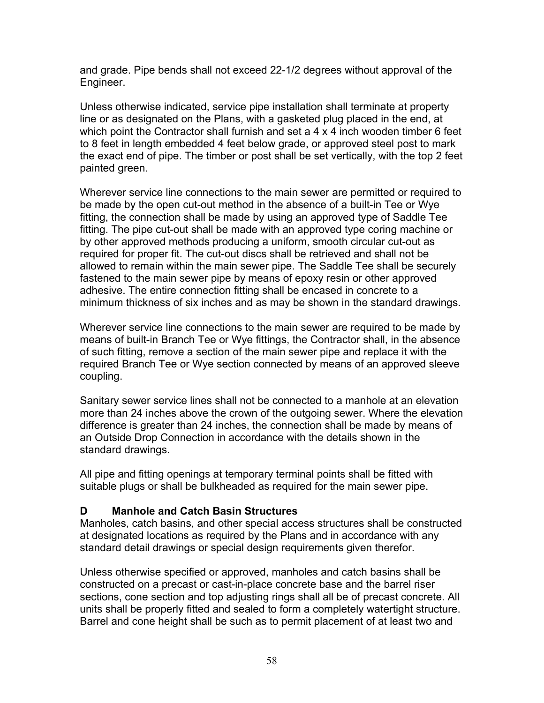<span id="page-57-0"></span>and grade. Pipe bends shall not exceed 22-1/2 degrees without approval of the Engineer.

Unless otherwise indicated, service pipe installation shall terminate at property line or as designated on the Plans, with a gasketed plug placed in the end, at which point the Contractor shall furnish and set a 4 x 4 inch wooden timber 6 feet to 8 feet in length embedded 4 feet below grade, or approved steel post to mark the exact end of pipe. The timber or post shall be set vertically, with the top 2 feet painted green.

Wherever service line connections to the main sewer are permitted or required to be made by the open cut-out method in the absence of a built-in Tee or Wye fitting, the connection shall be made by using an approved type of Saddle Tee fitting. The pipe cut-out shall be made with an approved type coring machine or by other approved methods producing a uniform, smooth circular cut-out as required for proper fit. The cut-out discs shall be retrieved and shall not be allowed to remain within the main sewer pipe. The Saddle Tee shall be securely fastened to the main sewer pipe by means of epoxy resin or other approved adhesive. The entire connection fitting shall be encased in concrete to a minimum thickness of six inches and as may be shown in the standard drawings.

Wherever service line connections to the main sewer are required to be made by means of built-in Branch Tee or Wye fittings, the Contractor shall, in the absence of such fitting, remove a section of the main sewer pipe and replace it with the required Branch Tee or Wye section connected by means of an approved sleeve coupling.

Sanitary sewer service lines shall not be connected to a manhole at an elevation more than 24 inches above the crown of the outgoing sewer. Where the elevation difference is greater than 24 inches, the connection shall be made by means of an Outside Drop Connection in accordance with the details shown in the standard drawings.

All pipe and fitting openings at temporary terminal points shall be fitted with suitable plugs or shall be bulkheaded as required for the main sewer pipe.

#### **D Manhole and Catch Basin Structures**

Manholes, catch basins, and other special access structures shall be constructed at designated locations as required by the Plans and in accordance with any standard detail drawings or special design requirements given therefor.

Unless otherwise specified or approved, manholes and catch basins shall be constructed on a precast or cast-in-place concrete base and the barrel riser sections, cone section and top adjusting rings shall all be of precast concrete. All units shall be properly fitted and sealed to form a completely watertight structure. Barrel and cone height shall be such as to permit placement of at least two and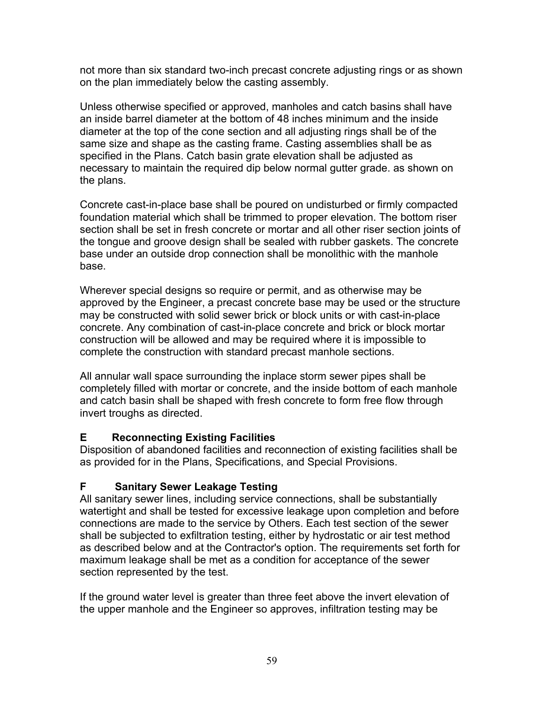<span id="page-58-0"></span>not more than six standard two-inch precast concrete adjusting rings or as shown on the plan immediately below the casting assembly.

Unless otherwise specified or approved, manholes and catch basins shall have an inside barrel diameter at the bottom of 48 inches minimum and the inside diameter at the top of the cone section and all adjusting rings shall be of the same size and shape as the casting frame. Casting assemblies shall be as specified in the Plans. Catch basin grate elevation shall be adjusted as necessary to maintain the required dip below normal gutter grade. as shown on the plans.

Concrete cast-in-place base shall be poured on undisturbed or firmly compacted foundation material which shall be trimmed to proper elevation. The bottom riser section shall be set in fresh concrete or mortar and all other riser section joints of the tongue and groove design shall be sealed with rubber gaskets. The concrete base under an outside drop connection shall be monolithic with the manhole base.

Wherever special designs so require or permit, and as otherwise may be approved by the Engineer, a precast concrete base may be used or the structure may be constructed with solid sewer brick or block units or with cast-in-place concrete. Any combination of cast-in-place concrete and brick or block mortar construction will be allowed and may be required where it is impossible to complete the construction with standard precast manhole sections.

All annular wall space surrounding the inplace storm sewer pipes shall be completely filled with mortar or concrete, and the inside bottom of each manhole and catch basin shall be shaped with fresh concrete to form free flow through invert troughs as directed.

#### **E Reconnecting Existing Facilities**

Disposition of abandoned facilities and reconnection of existing facilities shall be as provided for in the Plans, Specifications, and Special Provisions.

#### **F Sanitary Sewer Leakage Testing**

All sanitary sewer lines, including service connections, shall be substantially watertight and shall be tested for excessive leakage upon completion and before connections are made to the service by Others. Each test section of the sewer shall be subjected to exfiltration testing, either by hydrostatic or air test method as described below and at the Contractor's option. The requirements set forth for maximum leakage shall be met as a condition for acceptance of the sewer section represented by the test.

If the ground water level is greater than three feet above the invert elevation of the upper manhole and the Engineer so approves, infiltration testing may be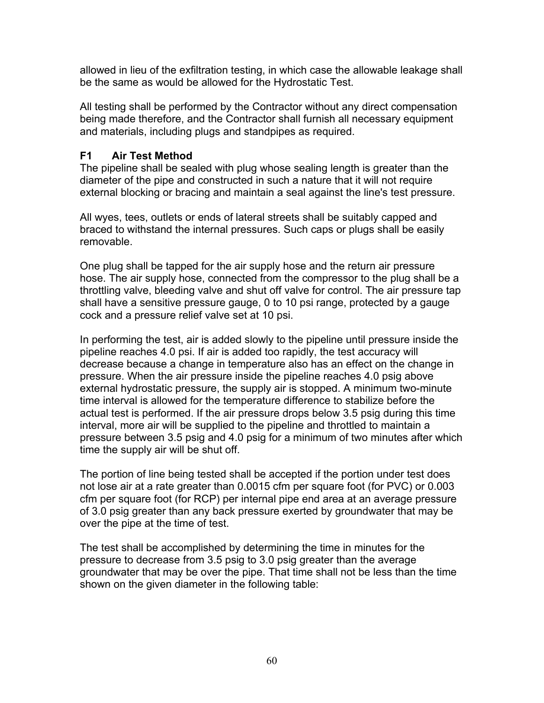<span id="page-59-0"></span>allowed in lieu of the exfiltration testing, in which case the allowable leakage shall be the same as would be allowed for the Hydrostatic Test.

All testing shall be performed by the Contractor without any direct compensation being made therefore, and the Contractor shall furnish all necessary equipment and materials, including plugs and standpipes as required.

#### **F1 Air Test Method**

The pipeline shall be sealed with plug whose sealing length is greater than the diameter of the pipe and constructed in such a nature that it will not require external blocking or bracing and maintain a seal against the line's test pressure.

All wyes, tees, outlets or ends of lateral streets shall be suitably capped and braced to withstand the internal pressures. Such caps or plugs shall be easily removable.

One plug shall be tapped for the air supply hose and the return air pressure hose. The air supply hose, connected from the compressor to the plug shall be a throttling valve, bleeding valve and shut off valve for control. The air pressure tap shall have a sensitive pressure gauge, 0 to 10 psi range, protected by a gauge cock and a pressure relief valve set at 10 psi.

In performing the test, air is added slowly to the pipeline until pressure inside the pipeline reaches 4.0 psi. If air is added too rapidly, the test accuracy will decrease because a change in temperature also has an effect on the change in pressure. When the air pressure inside the pipeline reaches 4.0 psig above external hydrostatic pressure, the supply air is stopped. A minimum two-minute time interval is allowed for the temperature difference to stabilize before the actual test is performed. If the air pressure drops below 3.5 psig during this time interval, more air will be supplied to the pipeline and throttled to maintain a pressure between 3.5 psig and 4.0 psig for a minimum of two minutes after which time the supply air will be shut off.

The portion of line being tested shall be accepted if the portion under test does not lose air at a rate greater than 0.0015 cfm per square foot (for PVC) or 0.003 cfm per square foot (for RCP) per internal pipe end area at an average pressure of 3.0 psig greater than any back pressure exerted by groundwater that may be over the pipe at the time of test.

The test shall be accomplished by determining the time in minutes for the pressure to decrease from 3.5 psig to 3.0 psig greater than the average groundwater that may be over the pipe. That time shall not be less than the time shown on the given diameter in the following table: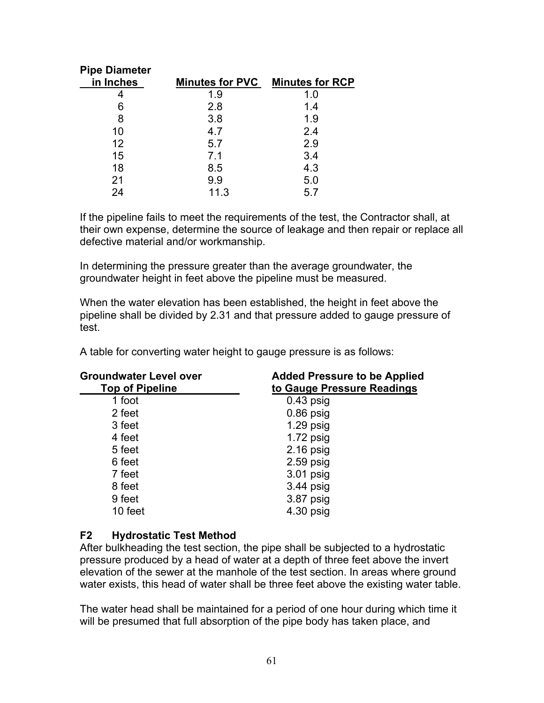<span id="page-60-0"></span>

|      | Minutes for PVC Minutes for RCP |
|------|---------------------------------|
| 1.9  | 1.0                             |
| 2.8  | 1.4                             |
| 3.8  | 1.9                             |
| 4.7  | 2.4                             |
| 5.7  | 2.9                             |
| 7.1  | 3.4                             |
| 8.5  | 4.3                             |
| 9.9  | 5.0                             |
| 11.3 | 5.7                             |
|      |                                 |

If the pipeline fails to meet the requirements of the test, the Contractor shall, at their own expense, determine the source of leakage and then repair or replace all defective material and/or workmanship.

In determining the pressure greater than the average groundwater, the groundwater height in feet above the pipeline must be measured.

When the water elevation has been established, the height in feet above the pipeline shall be divided by 2.31 and that pressure added to gauge pressure of test.

A table for converting water height to gauge pressure is as follows:

| <b>Groundwater Level over</b><br><b>Top of Pipeline</b> | <b>Added Pressure to be Applied</b><br>to Gauge Pressure Readings |  |
|---------------------------------------------------------|-------------------------------------------------------------------|--|
| 1 foot                                                  | $0.43$ psig                                                       |  |
| 2 feet                                                  | $0.86$ psig                                                       |  |
| 3 feet                                                  | $1.29$ psig                                                       |  |
| 4 feet                                                  | $1.72$ psig                                                       |  |
| 5 feet                                                  | $2.16$ psig                                                       |  |
| 6 feet                                                  | $2.59$ psig                                                       |  |
| 7 feet                                                  | 3.01 psig                                                         |  |
| 8 feet                                                  | $3.44$ psig                                                       |  |
| 9 feet                                                  | 3.87 psig                                                         |  |
| 10 feet                                                 | 4.30 psig                                                         |  |

#### **F2 Hydrostatic Test Method**

After bulkheading the test section, the pipe shall be subjected to a hydrostatic pressure produced by a head of water at a depth of three feet above the invert elevation of the sewer at the manhole of the test section. In areas where ground water exists, this head of water shall be three feet above the existing water table.

The water head shall be maintained for a period of one hour during which time it will be presumed that full absorption of the pipe body has taken place, and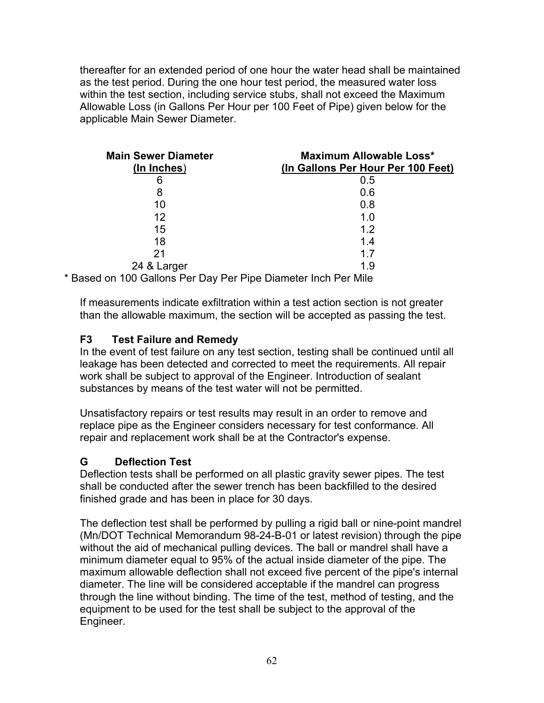<span id="page-61-0"></span>thereafter for an extended period of one hour the water head shall be maintained as the test period. During the one hour test period, the measured water loss within the test section, including service stubs, shall not exceed the Maximum Allowable Loss (in Gallons Per Hour per 100 Feet of Pipe) given below for the applicable Main Sewer Diameter.

| <b>Main Sewer Diameter</b><br>(In Inches)                 | Maximum Allowable Loss*<br>(In Gallons Per Hour Per 100 Feet) |
|-----------------------------------------------------------|---------------------------------------------------------------|
| 6                                                         | 0.5                                                           |
| 8                                                         | 0.6                                                           |
| 10                                                        | 0.8                                                           |
| 12                                                        | 1.0                                                           |
| 15                                                        | 1.2                                                           |
| 18                                                        | 1.4                                                           |
| 21                                                        | 17                                                            |
| 24 & Larger                                               | 1.9                                                           |
| rd en 100 Collens Der Day Der Dine Diemeter Ineb Der Mile |                                                               |

\* Based on 100 Gallons Per Day Per Pipe Diameter Inch Per Mile

If measurements indicate exfiltration within a test action section is not greater than the allowable maximum, the section will be accepted as passing the test.

#### **F3 Test Failure and Remedy**

In the event of test failure on any test section, testing shall be continued until all leakage has been detected and corrected to meet the requirements. All repair work shall be subject to approval of the Engineer. Introduction of sealant substances by means of the test water will not be permitted.

Unsatisfactory repairs or test results may result in an order to remove and replace pipe as the Engineer considers necessary for test conformance. All repair and replacement work shall be at the Contractor's expense.

# **G Deflection Test**

Deflection tests shall be performed on all plastic gravity sewer pipes. The test shall be conducted after the sewer trench has been backfilled to the desired finished grade and has been in place for 30 days.

The deflection test shall be performed by pulling a rigid ball or nine-point mandrel (Mn/DOT Technical Memorandum 98-24-B-01 or latest revision) through the pipe without the aid of mechanical pulling devices. The ball or mandrel shall have a minimum diameter equal to 95% of the actual inside diameter of the pipe. The maximum allowable deflection shall not exceed five percent of the pipe's internal diameter. The line will be considered acceptable if the mandrel can progress through the line without binding. The time of the test, method of testing, and the equipment to be used for the test shall be subject to the approval of the Engineer.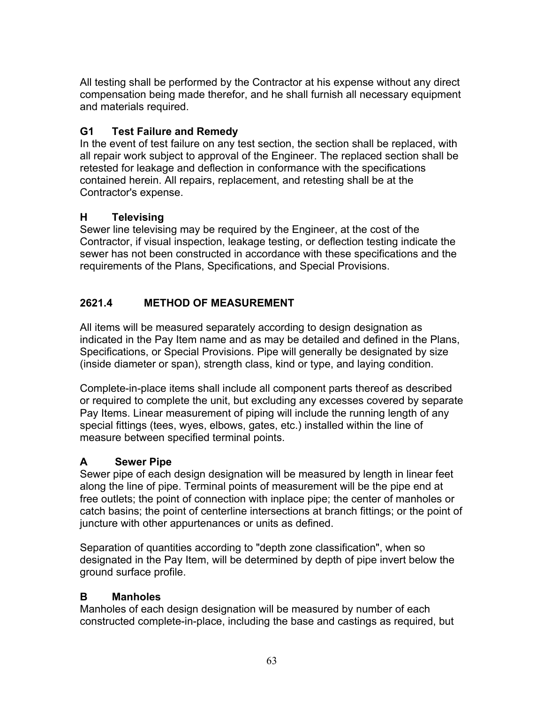<span id="page-62-0"></span>All testing shall be performed by the Contractor at his expense without any direct compensation being made therefor, and he shall furnish all necessary equipment and materials required.

# **G1 Test Failure and Remedy**

In the event of test failure on any test section, the section shall be replaced, with all repair work subject to approval of the Engineer. The replaced section shall be retested for leakage and deflection in conformance with the specifications contained herein. All repairs, replacement, and retesting shall be at the Contractor's expense.

# **H Televising**

Sewer line televising may be required by the Engineer, at the cost of the Contractor, if visual inspection, leakage testing, or deflection testing indicate the sewer has not been constructed in accordance with these specifications and the requirements of the Plans, Specifications, and Special Provisions.

# **2621.4 METHOD OF MEASUREMENT**

All items will be measured separately according to design designation as indicated in the Pay Item name and as may be detailed and defined in the Plans, Specifications, or Special Provisions. Pipe will generally be designated by size (inside diameter or span), strength class, kind or type, and laying condition.

Complete-in-place items shall include all component parts thereof as described or required to complete the unit, but excluding any excesses covered by separate Pay Items. Linear measurement of piping will include the running length of any special fittings (tees, wyes, elbows, gates, etc.) installed within the line of measure between specified terminal points.

# **A Sewer Pipe**

Sewer pipe of each design designation will be measured by length in linear feet along the line of pipe. Terminal points of measurement will be the pipe end at free outlets; the point of connection with inplace pipe; the center of manholes or catch basins; the point of centerline intersections at branch fittings; or the point of juncture with other appurtenances or units as defined.

Separation of quantities according to "depth zone classification", when so designated in the Pay Item, will be determined by depth of pipe invert below the ground surface profile.

# **B Manholes**

Manholes of each design designation will be measured by number of each constructed complete-in-place, including the base and castings as required, but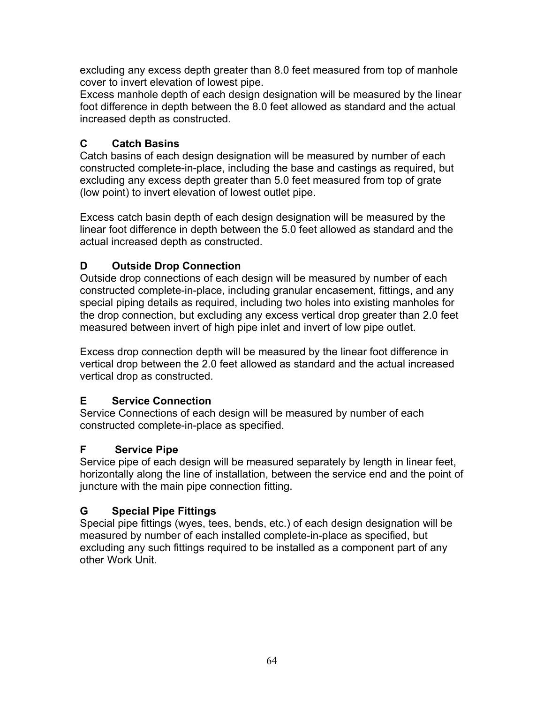<span id="page-63-0"></span>excluding any excess depth greater than 8.0 feet measured from top of manhole cover to invert elevation of lowest pipe.

Excess manhole depth of each design designation will be measured by the linear foot difference in depth between the 8.0 feet allowed as standard and the actual increased depth as constructed.

# **C Catch Basins**

Catch basins of each design designation will be measured by number of each constructed complete-in-place, including the base and castings as required, but excluding any excess depth greater than 5.0 feet measured from top of grate (low point) to invert elevation of lowest outlet pipe.

Excess catch basin depth of each design designation will be measured by the linear foot difference in depth between the 5.0 feet allowed as standard and the actual increased depth as constructed.

# **D Outside Drop Connection**

Outside drop connections of each design will be measured by number of each constructed complete-in-place, including granular encasement, fittings, and any special piping details as required, including two holes into existing manholes for the drop connection, but excluding any excess vertical drop greater than 2.0 feet measured between invert of high pipe inlet and invert of low pipe outlet.

Excess drop connection depth will be measured by the linear foot difference in vertical drop between the 2.0 feet allowed as standard and the actual increased vertical drop as constructed.

# **E Service Connection**

Service Connections of each design will be measured by number of each constructed complete-in-place as specified.

# **F Service Pipe**

Service pipe of each design will be measured separately by length in linear feet, horizontally along the line of installation, between the service end and the point of juncture with the main pipe connection fitting.

# **G Special Pipe Fittings**

Special pipe fittings (wyes, tees, bends, etc.) of each design designation will be measured by number of each installed complete-in-place as specified, but excluding any such fittings required to be installed as a component part of any other Work Unit.